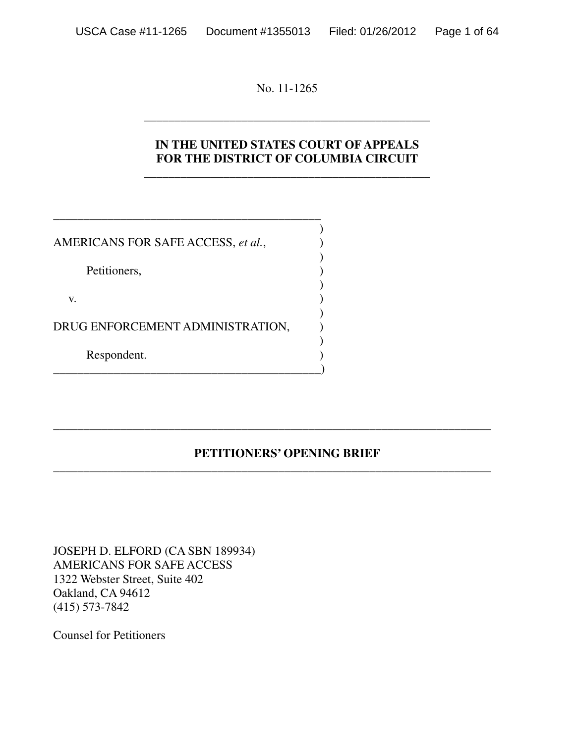No. 11-1265

\_\_\_\_\_\_\_\_\_\_\_\_\_\_\_\_\_\_\_\_\_\_\_\_\_\_\_\_\_\_\_\_\_\_\_\_\_\_\_\_\_\_\_\_\_\_\_

## **IN THE UNITED STATES COURT OF APPEALS FOR THE DISTRICT OF COLUMBIA CIRCUIT**

\_\_\_\_\_\_\_\_\_\_\_\_\_\_\_\_\_\_\_\_\_\_\_\_\_\_\_\_\_\_\_\_\_\_\_\_\_\_\_\_\_\_\_\_\_\_\_

| AMERICANS FOR SAFE ACCESS, et al., |  |
|------------------------------------|--|
| Petitioners,                       |  |
| V.                                 |  |
| DRUG ENFORCEMENT ADMINISTRATION,   |  |
| Respondent.                        |  |

\_\_\_\_\_\_\_\_\_\_\_\_\_\_\_\_\_\_\_\_\_\_\_\_\_\_\_\_\_\_\_\_\_\_\_\_\_\_\_\_\_\_\_\_

## **PETITIONERS' OPENING BRIEF**

\_\_\_\_\_\_\_\_\_\_\_\_\_\_\_\_\_\_\_\_\_\_\_\_\_\_\_\_\_\_\_\_\_\_\_\_\_\_\_\_\_\_\_\_\_\_\_\_\_\_\_\_\_\_\_\_\_\_\_\_\_\_\_\_\_\_\_\_\_\_\_\_

\_\_\_\_\_\_\_\_\_\_\_\_\_\_\_\_\_\_\_\_\_\_\_\_\_\_\_\_\_\_\_\_\_\_\_\_\_\_\_\_\_\_\_\_\_\_\_\_\_\_\_\_\_\_\_\_\_\_\_\_\_\_\_\_\_\_\_\_\_\_\_\_

JOSEPH D. ELFORD (CA SBN 189934) AMERICANS FOR SAFE ACCESS 1322 Webster Street, Suite 402 Oakland, CA 94612 (415) 573-7842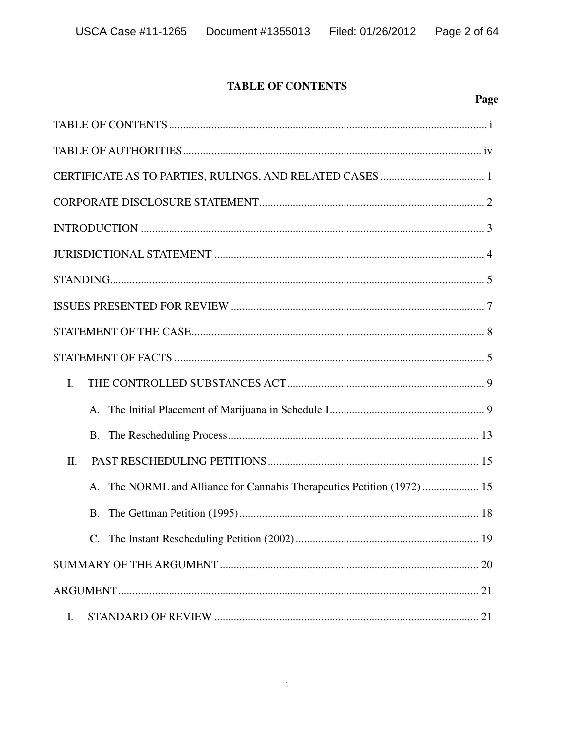### **TABLE OF CONTENTS**

Page

| I.      |
|---------|
| $A_{-}$ |
| B.      |
| II.     |
|         |
| B.      |
|         |
|         |
|         |
| Ι.      |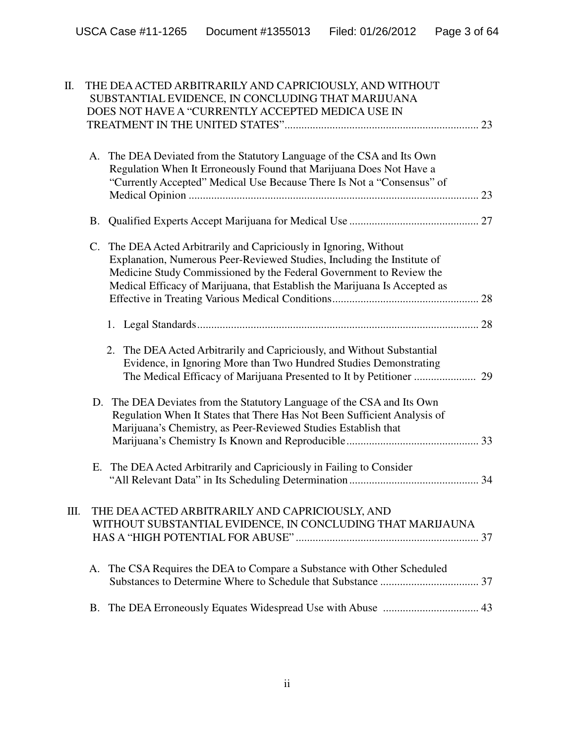| А.          | The DEA Deviated from the Statutory Language of the CSA and Its Own<br>Regulation When It Erroneously Found that Marijuana Does Not Have a<br>"Currently Accepted" Medical Use Because There Is Not a "Consensus" of                                                                            |                                                                                                                                                                                                                                                                                                       |
|-------------|-------------------------------------------------------------------------------------------------------------------------------------------------------------------------------------------------------------------------------------------------------------------------------------------------|-------------------------------------------------------------------------------------------------------------------------------------------------------------------------------------------------------------------------------------------------------------------------------------------------------|
|             |                                                                                                                                                                                                                                                                                                 |                                                                                                                                                                                                                                                                                                       |
| $C_{\cdot}$ | The DEA Acted Arbitrarily and Capriciously in Ignoring, Without<br>Explanation, Numerous Peer-Reviewed Studies, Including the Institute of<br>Medicine Study Commissioned by the Federal Government to Review the<br>Medical Efficacy of Marijuana, that Establish the Marijuana Is Accepted as |                                                                                                                                                                                                                                                                                                       |
|             |                                                                                                                                                                                                                                                                                                 |                                                                                                                                                                                                                                                                                                       |
|             | 2. The DEA Acted Arbitrarily and Capriciously, and Without Substantial<br>Evidence, in Ignoring More than Two Hundred Studies Demonstrating                                                                                                                                                     |                                                                                                                                                                                                                                                                                                       |
|             | The DEA Deviates from the Statutory Language of the CSA and Its Own<br>Regulation When It States that There Has Not Been Sufficient Analysis of<br>Marijuana's Chemistry, as Peer-Reviewed Studies Establish that                                                                               |                                                                                                                                                                                                                                                                                                       |
|             | The DEA Acted Arbitrarily and Capriciously in Failing to Consider                                                                                                                                                                                                                               |                                                                                                                                                                                                                                                                                                       |
|             |                                                                                                                                                                                                                                                                                                 |                                                                                                                                                                                                                                                                                                       |
| А.          | The CSA Requires the DEA to Compare a Substance with Other Scheduled                                                                                                                                                                                                                            |                                                                                                                                                                                                                                                                                                       |
| В.          |                                                                                                                                                                                                                                                                                                 |                                                                                                                                                                                                                                                                                                       |
|             |                                                                                                                                                                                                                                                                                                 | THE DEA ACTED ARBITRARILY AND CAPRICIOUSLY, AND WITHOUT<br>SUBSTANTIAL EVIDENCE, IN CONCLUDING THAT MARIJUANA<br>DOES NOT HAVE A "CURRENTLY ACCEPTED MEDICA USE IN<br>B.<br>D.<br>Е.<br>THE DEA ACTED ARBITRARILY AND CAPRICIOUSLY, AND<br>WITHOUT SUBSTANTIAL EVIDENCE, IN CONCLUDING THAT MARIJAUNA |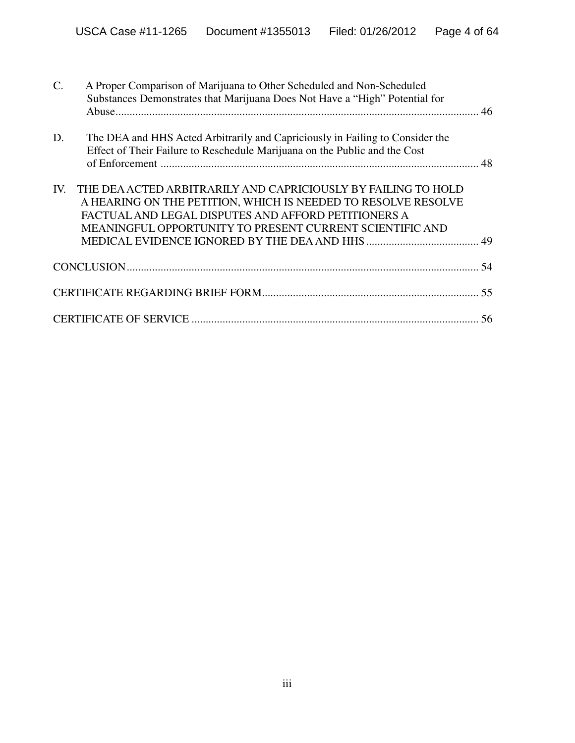| $\mathcal{C}$ . | A Proper Comparison of Marijuana to Other Scheduled and Non-Scheduled<br>Substances Demonstrates that Marijuana Does Not Have a "High" Potential for                                                                                              |    |
|-----------------|---------------------------------------------------------------------------------------------------------------------------------------------------------------------------------------------------------------------------------------------------|----|
| D.              | The DEA and HHS Acted Arbitrarily and Capriciously in Failing to Consider the<br>Effect of Their Failure to Reschedule Marijuana on the Public and the Cost                                                                                       |    |
| IV.             | THE DEA ACTED ARBITRARILY AND CAPRICIOUSLY BY FAILING TO HOLD<br>A HEARING ON THE PETITION, WHICH IS NEEDED TO RESOLVE RESOLVE<br>FACTUAL AND LEGAL DISPUTES AND AFFORD PETITIONERS A<br>MEANINGFUL OPPORTUNITY TO PRESENT CURRENT SCIENTIFIC AND |    |
|                 |                                                                                                                                                                                                                                                   |    |
|                 |                                                                                                                                                                                                                                                   |    |
|                 |                                                                                                                                                                                                                                                   | 56 |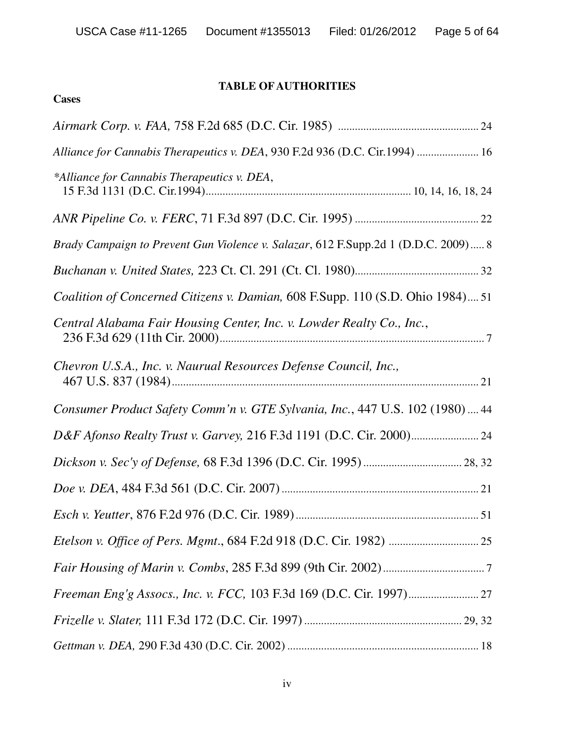### **TABLE OFAUTHORITIES**

**Cases**

| Alliance for Cannabis Therapeutics v. DEA, 930 F.2d 936 (D.C. Cir.1994)  16        |
|------------------------------------------------------------------------------------|
| *Alliance for Cannabis Therapeutics v. DEA,                                        |
|                                                                                    |
| Brady Campaign to Prevent Gun Violence v. Salazar, 612 F.Supp.2d 1 (D.D.C. 2009) 8 |
|                                                                                    |
| Coalition of Concerned Citizens v. Damian, 608 F.Supp. 110 (S.D. Ohio 1984) 51     |
| Central Alabama Fair Housing Center, Inc. v. Lowder Realty Co., Inc.,              |
| Chevron U.S.A., Inc. v. Naurual Resources Defense Council, Inc.,                   |
| Consumer Product Safety Comm'n v. GTE Sylvania, Inc., 447 U.S. 102 (1980)  44      |
|                                                                                    |
|                                                                                    |
|                                                                                    |
|                                                                                    |
|                                                                                    |
|                                                                                    |
|                                                                                    |
|                                                                                    |
|                                                                                    |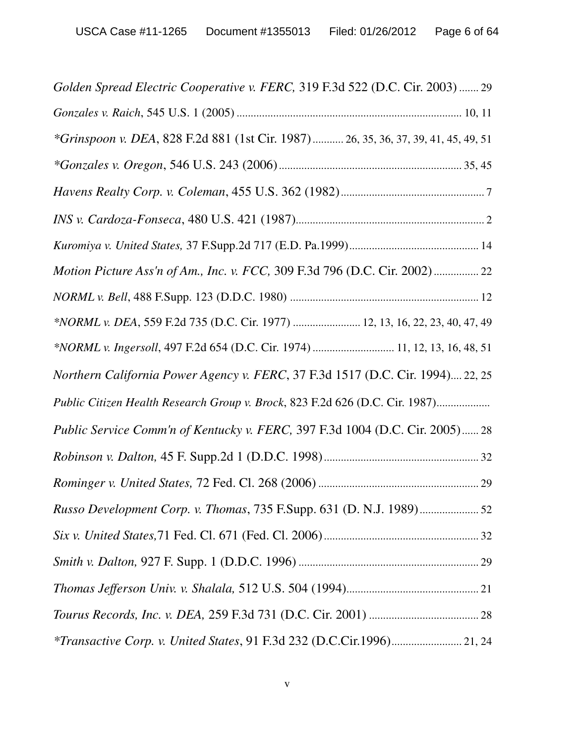| Golden Spread Electric Cooperative v. FERC, 319 F.3d 522 (D.C. Cir. 2003)  29      |
|------------------------------------------------------------------------------------|
|                                                                                    |
| *Grinspoon v. DEA, 828 F.2d 881 (1st Cir. 1987) 26, 35, 36, 37, 39, 41, 45, 49, 51 |
|                                                                                    |
|                                                                                    |
|                                                                                    |
|                                                                                    |
| Motion Picture Ass'n of Am., Inc. v. FCC, 309 F.3d 796 (D.C. Cir. 2002) 22         |
|                                                                                    |
| *NORML v. DEA, 559 F.2d 735 (D.C. Cir. 1977)  12, 13, 16, 22, 23, 40, 47, 49       |
| *NORML v. Ingersoll, 497 F.2d 654 (D.C. Cir. 1974)  11, 12, 13, 16, 48, 51         |
| Northern California Power Agency v. FERC, 37 F.3d 1517 (D.C. Cir. 1994) 22, 25     |
| Public Citizen Health Research Group v. Brock, 823 F.2d 626 (D.C. Cir. 1987)       |
| Public Service Comm'n of Kentucky v. FERC, 397 F.3d 1004 (D.C. Cir. 2005) 28       |
|                                                                                    |
|                                                                                    |
|                                                                                    |
|                                                                                    |
|                                                                                    |
|                                                                                    |
|                                                                                    |
|                                                                                    |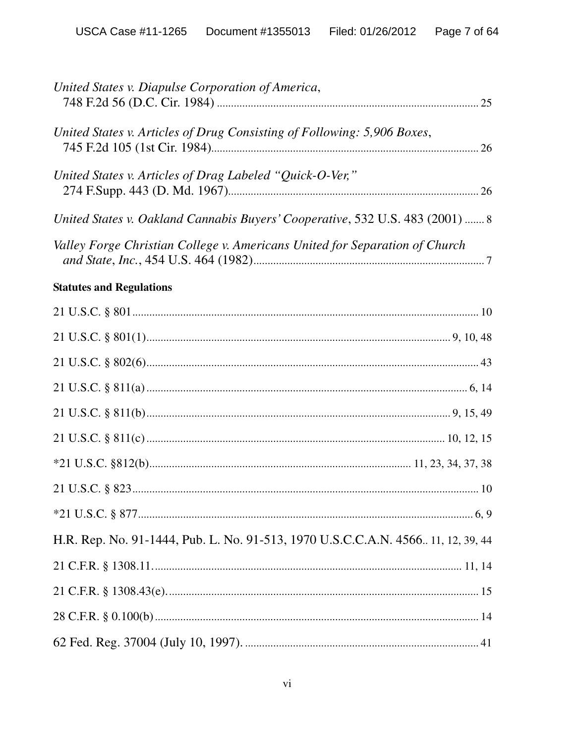| United States v. Diapulse Corporation of America,                                |
|----------------------------------------------------------------------------------|
| United States v. Articles of Drug Consisting of Following: 5,906 Boxes,          |
| United States v. Articles of Drag Labeled "Quick-O-Ver,"                         |
| United States v. Oakland Cannabis Buyers' Cooperative, 532 U.S. 483 (2001)  8    |
| Valley Forge Christian College v. Americans United for Separation of Church      |
| <b>Statutes and Regulations</b>                                                  |
|                                                                                  |
|                                                                                  |
|                                                                                  |
|                                                                                  |
|                                                                                  |
|                                                                                  |
|                                                                                  |
|                                                                                  |
|                                                                                  |
| H.R. Rep. No. 91-1444, Pub. L. No. 91-513, 1970 U.S.C.C.A.N. 4566 11, 12, 39, 44 |
|                                                                                  |
|                                                                                  |
|                                                                                  |
|                                                                                  |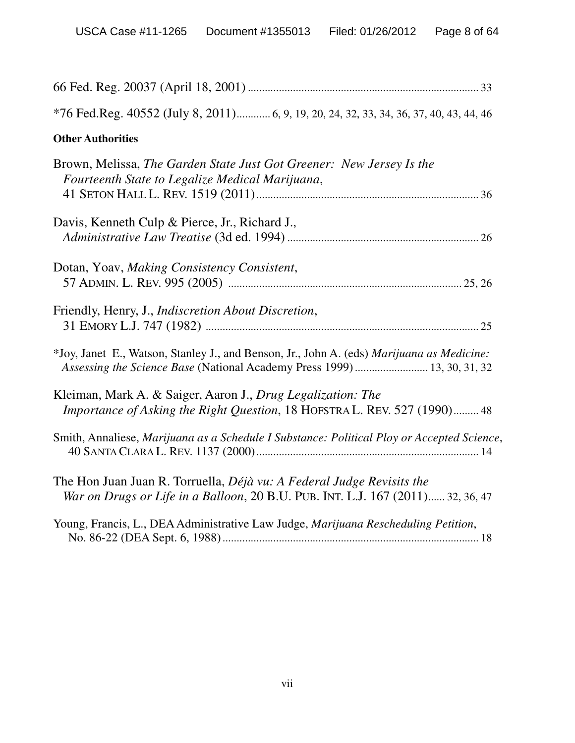| *76 Fed.Reg. 40552 (July 8, 2011) 6, 9, 19, 20, 24, 32, 33, 34, 36, 37, 40, 43, 44, 46                                                                                |
|-----------------------------------------------------------------------------------------------------------------------------------------------------------------------|
| <b>Other Authorities</b>                                                                                                                                              |
| Brown, Melissa, The Garden State Just Got Greener: New Jersey Is the<br>Fourteenth State to Legalize Medical Marijuana,                                               |
| Davis, Kenneth Culp & Pierce, Jr., Richard J.,                                                                                                                        |
| Dotan, Yoav, Making Consistency Consistent,                                                                                                                           |
| Friendly, Henry, J., <i>Indiscretion About Discretion</i> ,                                                                                                           |
| *Joy, Janet E., Watson, Stanley J., and Benson, Jr., John A. (eds) Marijuana as Medicine:<br>Assessing the Science Base (National Academy Press 1999)  13, 30, 31, 32 |
| Kleiman, Mark A. & Saiger, Aaron J., Drug Legalization: The<br>Importance of Asking the Right Question, 18 HOFSTRA L. REV. 527 (1990) 48                              |
| Smith, Annaliese, Marijuana as a Schedule I Substance: Political Ploy or Accepted Science,                                                                            |
| The Hon Juan Juan R. Torruella, <i>Déjà vu: A Federal Judge Revisits the</i><br>War on Drugs or Life in a Balloon, 20 B.U. PUB. INT. L.J. 167 (2011) 32, 36, 47       |
| Young, Francis, L., DEA Administrative Law Judge, Marijuana Rescheduling Petition,                                                                                    |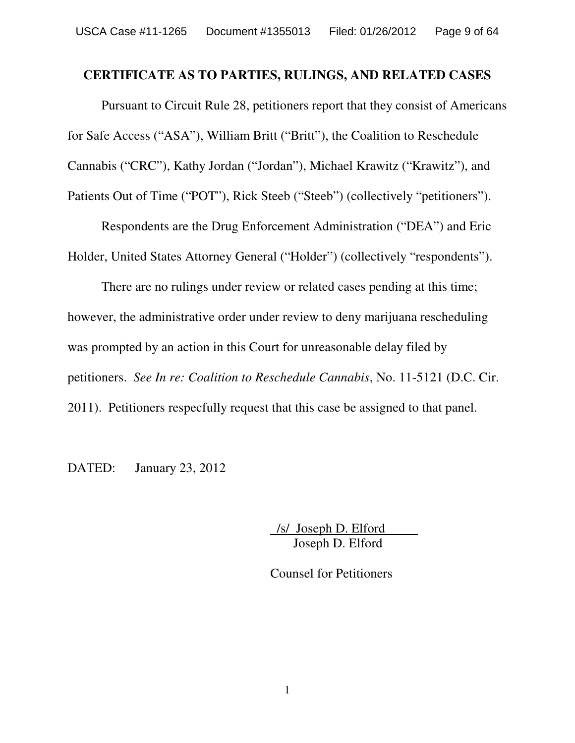### **CERTIFICATE AS TO PARTIES, RULINGS, AND RELATED CASES**

Pursuant to Circuit Rule 28, petitioners report that they consist of Americans for Safe Access ("ASA"), William Britt ("Britt"), the Coalition to Reschedule Cannabis ("CRC"), Kathy Jordan ("Jordan"), Michael Krawitz ("Krawitz"), and Patients Out of Time ("POT"), Rick Steeb ("Steeb") (collectively "petitioners").

Respondents are the Drug Enforcement Administration ("DEA") and Eric Holder, United States Attorney General ("Holder") (collectively "respondents").

There are no rulings under review or related cases pending at this time; however, the administrative order under review to deny marijuana rescheduling was prompted by an action in this Court for unreasonable delay filed by petitioners. *See In re: Coalition to Reschedule Cannabis*, No. 11-5121 (D.C. Cir. 2011). Petitioners respecfully request that this case be assigned to that panel.

DATED: January 23, 2012

/s/ Joseph D. Elford Joseph D. Elford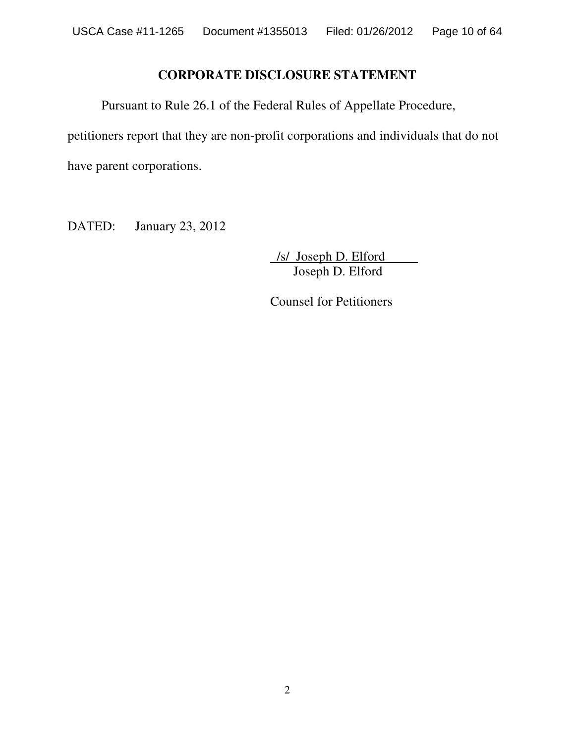# **CORPORATE DISCLOSURE STATEMENT**

Pursuant to Rule 26.1 of the Federal Rules of Appellate Procedure,

petitioners report that they are non-profit corporations and individuals that do not

have parent corporations.

DATED: January 23, 2012

/s/ Joseph D. Elford Joseph D. Elford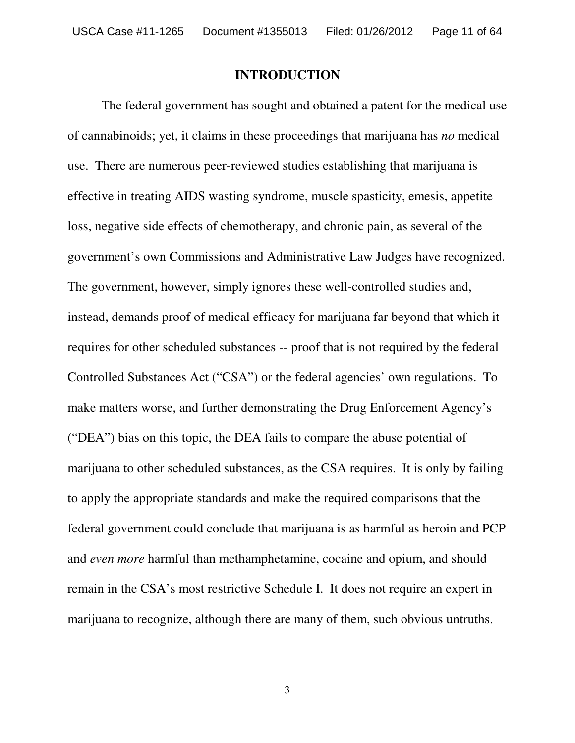#### **INTRODUCTION**

The federal government has sought and obtained a patent for the medical use of cannabinoids; yet, it claims in these proceedings that marijuana has *no* medical use. There are numerous peer-reviewed studies establishing that marijuana is effective in treating AIDS wasting syndrome, muscle spasticity, emesis, appetite loss, negative side effects of chemotherapy, and chronic pain, as several of the government's own Commissions and Administrative Law Judges have recognized. The government, however, simply ignores these well-controlled studies and, instead, demands proof of medical efficacy for marijuana far beyond that which it requires for other scheduled substances -- proof that is not required by the federal Controlled Substances Act ("CSA") or the federal agencies' own regulations. To make matters worse, and further demonstrating the Drug Enforcement Agency's ("DEA") bias on this topic, the DEA fails to compare the abuse potential of marijuana to other scheduled substances, as the CSA requires. It is only by failing to apply the appropriate standards and make the required comparisons that the federal government could conclude that marijuana is as harmful as heroin and PCP and *even more* harmful than methamphetamine, cocaine and opium, and should remain in the CSA's most restrictive Schedule I. It does not require an expert in marijuana to recognize, although there are many of them, such obvious untruths.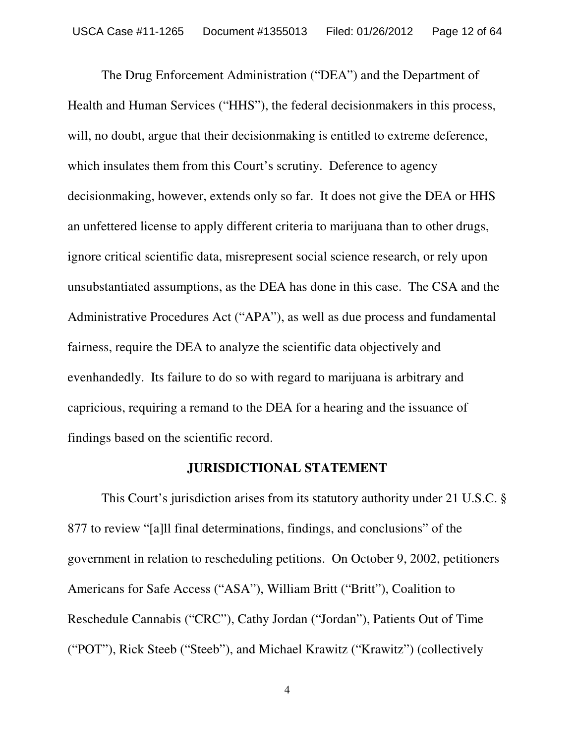The Drug Enforcement Administration ("DEA") and the Department of Health and Human Services ("HHS"), the federal decisionmakers in this process, will, no doubt, argue that their decision making is entitled to extreme deference, which insulates them from this Court's scrutiny. Deference to agency decisionmaking, however, extends only so far. It does not give the DEA or HHS an unfettered license to apply different criteria to marijuana than to other drugs, ignore critical scientific data, misrepresent social science research, or rely upon unsubstantiated assumptions, as the DEA has done in this case. The CSA and the Administrative Procedures Act ("APA"), as well as due process and fundamental fairness, require the DEA to analyze the scientific data objectively and evenhandedly. Its failure to do so with regard to marijuana is arbitrary and capricious, requiring a remand to the DEA for a hearing and the issuance of findings based on the scientific record.

#### **JURISDICTIONAL STATEMENT**

This Court's jurisdiction arises from its statutory authority under 21 U.S.C. § 877 to review "[a]ll final determinations, findings, and conclusions" of the government in relation to rescheduling petitions. On October 9, 2002, petitioners Americans for Safe Access ("ASA"), William Britt ("Britt"), Coalition to Reschedule Cannabis ("CRC"), Cathy Jordan ("Jordan"), Patients Out of Time ("POT"), Rick Steeb ("Steeb"), and Michael Krawitz ("Krawitz") (collectively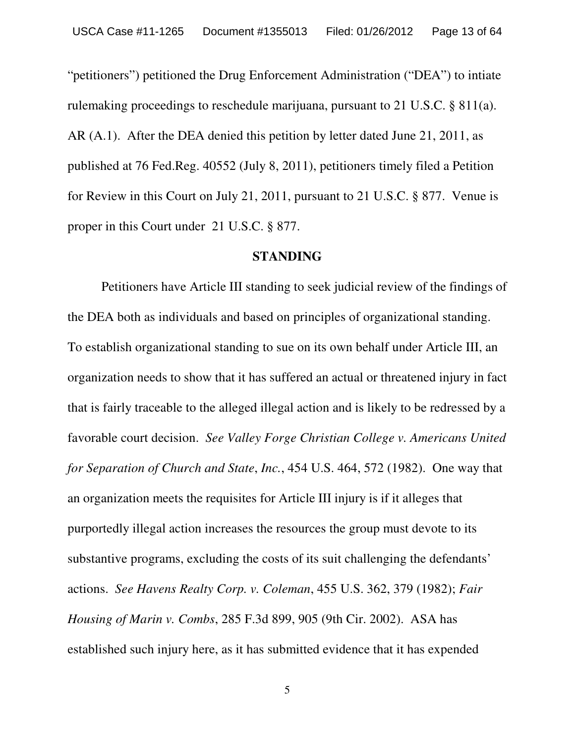"petitioners") petitioned the Drug Enforcement Administration ("DEA") to intiate rulemaking proceedings to reschedule marijuana, pursuant to 21 U.S.C. § 811(a). AR (A.1). After the DEA denied this petition by letter dated June 21, 2011, as published at 76 Fed.Reg. 40552 (July 8, 2011), petitioners timely filed a Petition for Review in this Court on July 21, 2011, pursuant to 21 U.S.C. § 877. Venue is proper in this Court under 21 U.S.C. § 877.

#### **STANDING**

Petitioners have Article III standing to seek judicial review of the findings of the DEA both as individuals and based on principles of organizational standing. To establish organizational standing to sue on its own behalf under Article III, an organization needs to show that it has suffered an actual or threatened injury in fact that is fairly traceable to the alleged illegal action and is likely to be redressed by a favorable court decision. *See Valley Forge Christian College v. Americans United for Separation of Church and State*, *Inc.*, 454 U.S. 464, 572 (1982). One way that an organization meets the requisites for Article III injury is if it alleges that purportedly illegal action increases the resources the group must devote to its substantive programs, excluding the costs of its suit challenging the defendants' actions. *See Havens Realty Corp. v. Coleman*, 455 U.S. 362, 379 (1982); *Fair Housing of Marin v. Combs*, 285 F.3d 899, 905 (9th Cir. 2002). ASA has established such injury here, as it has submitted evidence that it has expended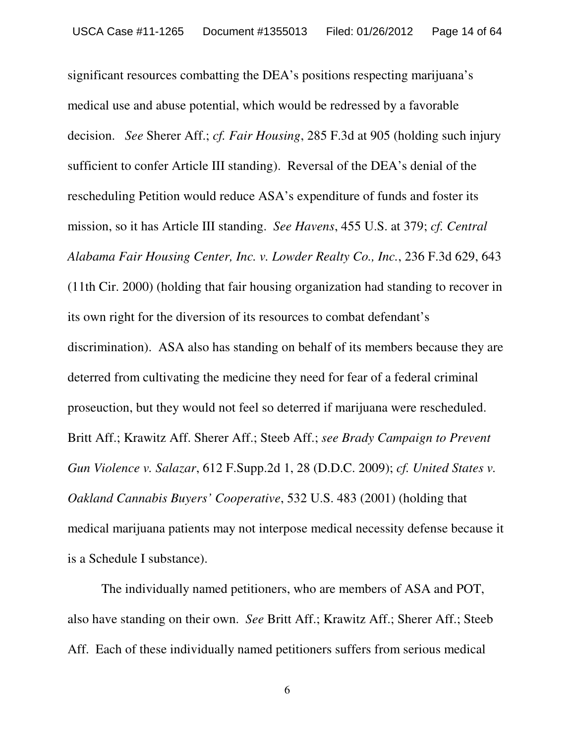significant resources combatting the DEA's positions respecting marijuana's medical use and abuse potential, which would be redressed by a favorable decision. *See* Sherer Aff.; *cf. Fair Housing*, 285 F.3d at 905 (holding such injury sufficient to confer Article III standing). Reversal of the DEA's denial of the rescheduling Petition would reduce ASA's expenditure of funds and foster its mission, so it has Article III standing. *See Havens*, 455 U.S. at 379; *cf. Central Alabama Fair Housing Center, Inc. v. Lowder Realty Co., Inc.*, 236 F.3d 629, 643 (11th Cir. 2000) (holding that fair housing organization had standing to recover in its own right for the diversion of its resources to combat defendant's discrimination). ASA also has standing on behalf of its members because they are deterred from cultivating the medicine they need for fear of a federal criminal proseuction, but they would not feel so deterred if marijuana were rescheduled. Britt Aff.; Krawitz Aff. Sherer Aff.; Steeb Aff.; *see Brady Campaign to Prevent Gun Violence v. Salazar*, 612 F.Supp.2d 1, 28 (D.D.C. 2009); *cf. United States v. Oakland Cannabis Buyers' Cooperative*, 532 U.S. 483 (2001) (holding that medical marijuana patients may not interpose medical necessity defense because it is a Schedule I substance).

The individually named petitioners, who are members of ASA and POT, also have standing on their own. *See* Britt Aff.; Krawitz Aff.; Sherer Aff.; Steeb Aff. Each of these individually named petitioners suffers from serious medical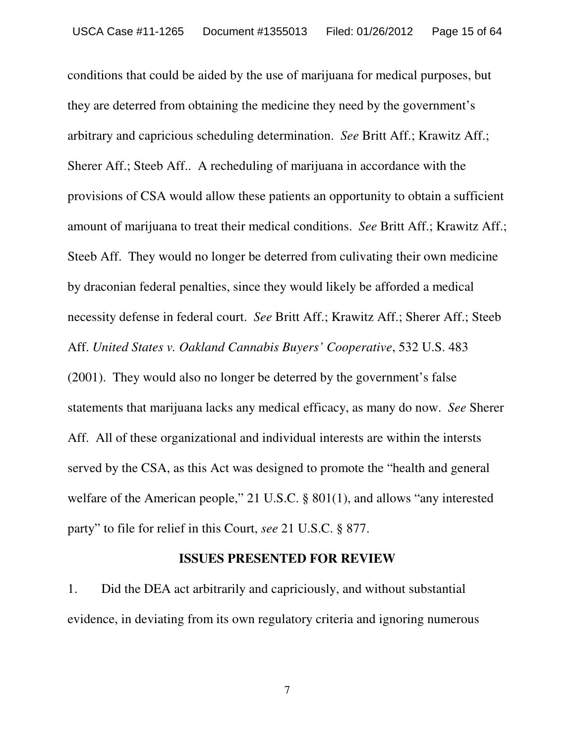conditions that could be aided by the use of marijuana for medical purposes, but they are deterred from obtaining the medicine they need by the government's arbitrary and capricious scheduling determination. *See* Britt Aff.; Krawitz Aff.; Sherer Aff.; Steeb Aff.. A recheduling of marijuana in accordance with the provisions of CSA would allow these patients an opportunity to obtain a sufficient amount of marijuana to treat their medical conditions. *See* Britt Aff.; Krawitz Aff.; Steeb Aff. They would no longer be deterred from culivating their own medicine by draconian federal penalties, since they would likely be afforded a medical necessity defense in federal court. *See* Britt Aff.; Krawitz Aff.; Sherer Aff.; Steeb Aff. *United States v. Oakland Cannabis Buyers' Cooperative*, 532 U.S. 483 (2001). They would also no longer be deterred by the government's false statements that marijuana lacks any medical efficacy, as many do now. *See* Sherer Aff. All of these organizational and individual interests are within the intersts served by the CSA, as this Act was designed to promote the "health and general welfare of the American people," 21 U.S.C. § 801(1), and allows "any interested party" to file for relief in this Court, *see* 21 U.S.C. § 877.

### **ISSUES PRESENTED FOR REVIEW**

1. Did the DEA act arbitrarily and capriciously, and without substantial evidence, in deviating from its own regulatory criteria and ignoring numerous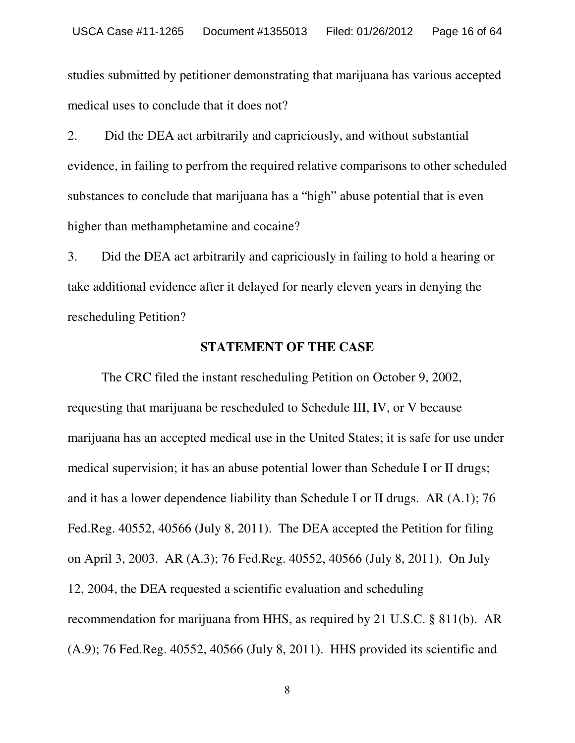studies submitted by petitioner demonstrating that marijuana has various accepted medical uses to conclude that it does not?

2. Did the DEA act arbitrarily and capriciously, and without substantial evidence, in failing to perfrom the required relative comparisons to other scheduled substances to conclude that marijuana has a "high" abuse potential that is even higher than methamphetamine and cocaine?

3. Did the DEA act arbitrarily and capriciously in failing to hold a hearing or take additional evidence after it delayed for nearly eleven years in denying the rescheduling Petition?

#### **STATEMENT OF THE CASE**

The CRC filed the instant rescheduling Petition on October 9, 2002, requesting that marijuana be rescheduled to Schedule III, IV, or V because marijuana has an accepted medical use in the United States; it is safe for use under medical supervision; it has an abuse potential lower than Schedule I or II drugs; and it has a lower dependence liability than Schedule I or II drugs. AR (A.1); 76 Fed.Reg. 40552, 40566 (July 8, 2011). The DEA accepted the Petition for filing on April 3, 2003. AR (A.3); 76 Fed.Reg. 40552, 40566 (July 8, 2011). On July 12, 2004, the DEA requested a scientific evaluation and scheduling recommendation for marijuana from HHS, as required by 21 U.S.C. § 811(b). AR (A.9); 76 Fed.Reg. 40552, 40566 (July 8, 2011). HHS provided its scientific and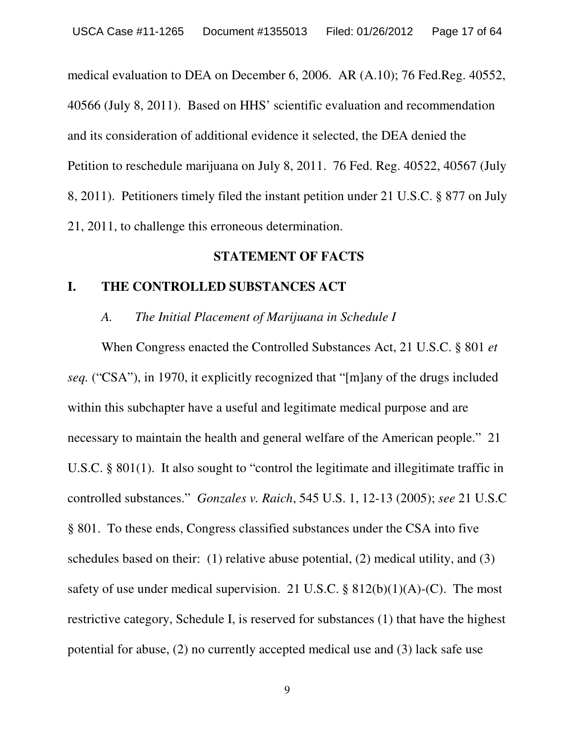medical evaluation to DEA on December 6, 2006. AR (A.10); 76 Fed.Reg. 40552, 40566 (July 8, 2011). Based on HHS' scientific evaluation and recommendation and its consideration of additional evidence it selected, the DEA denied the Petition to reschedule marijuana on July 8, 2011. 76 Fed. Reg. 40522, 40567 (July 8, 2011). Petitioners timely filed the instant petition under 21 U.S.C. § 877 on July 21, 2011, to challenge this erroneous determination.

### **STATEMENT OF FACTS**

### **I. THE CONTROLLED SUBSTANCES ACT**

#### *A. The Initial Placement of Marijuana in Schedule I*

When Congress enacted the Controlled Substances Act, 21 U.S.C. § 801 *et seq.* ("CSA"), in 1970, it explicitly recognized that "[m]any of the drugs included within this subchapter have a useful and legitimate medical purpose and are necessary to maintain the health and general welfare of the American people." 21 U.S.C. § 801(1). It also sought to "control the legitimate and illegitimate traffic in controlled substances." *Gonzales v. Raich*, 545 U.S. 1, 12-13 (2005); *see* 21 U.S.C § 801. To these ends, Congress classified substances under the CSA into five schedules based on their: (1) relative abuse potential, (2) medical utility, and (3) safety of use under medical supervision. 21 U.S.C.  $\S 812(b)(1)(A)-(C)$ . The most restrictive category, Schedule I, is reserved for substances (1) that have the highest potential for abuse, (2) no currently accepted medical use and (3) lack safe use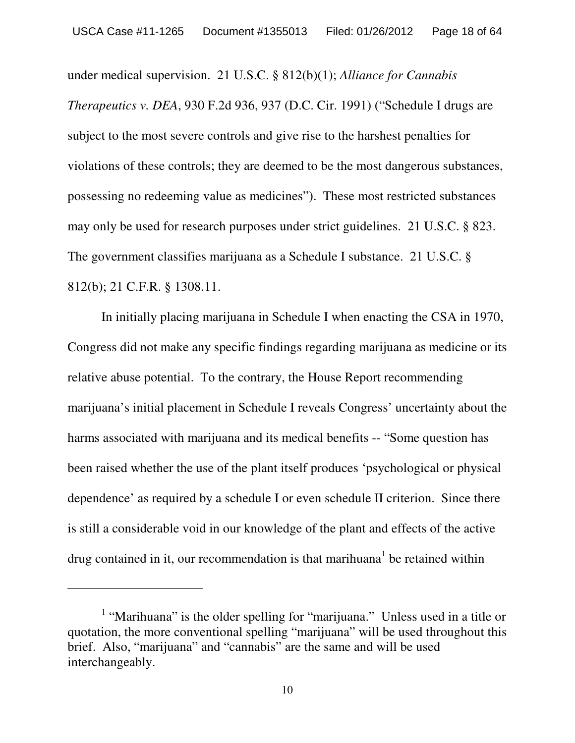under medical supervision. 21 U.S.C. § 812(b)(1); *Alliance for Cannabis Therapeutics v. DEA*, 930 F.2d 936, 937 (D.C. Cir. 1991) ("Schedule I drugs are subject to the most severe controls and give rise to the harshest penalties for violations of these controls; they are deemed to be the most dangerous substances, possessing no redeeming value as medicines"). These most restricted substances may only be used for research purposes under strict guidelines. 21 U.S.C. § 823. The government classifies marijuana as a Schedule I substance. 21 U.S.C. § 812(b); 21 C.F.R. § 1308.11.

In initially placing marijuana in Schedule I when enacting the CSA in 1970, Congress did not make any specific findings regarding marijuana as medicine or its relative abuse potential. To the contrary, the House Report recommending marijuana's initial placement in Schedule I reveals Congress' uncertainty about the harms associated with marijuana and its medical benefits -- "Some question has been raised whether the use of the plant itself produces 'psychological or physical dependence' as required by a schedule I or even schedule II criterion. Since there is still a considerable void in our knowledge of the plant and effects of the active drug contained in it, our recommendation is that marihuana<sup>1</sup> be retained within

<sup>&</sup>lt;sup>1</sup> "Marihuana" is the older spelling for "marijuana." Unless used in a title or quotation, the more conventional spelling "marijuana" will be used throughout this brief. Also, "marijuana" and "cannabis" are the same and will be used interchangeably.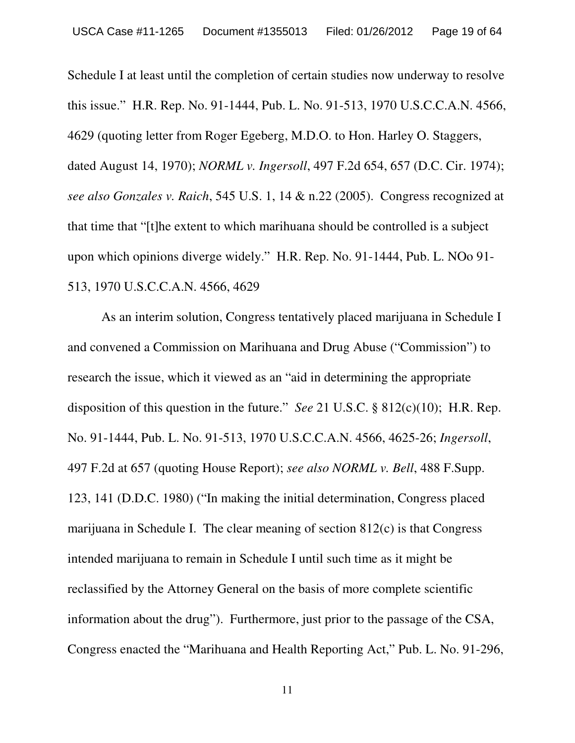Schedule I at least until the completion of certain studies now underway to resolve this issue." H.R. Rep. No. 91-1444, Pub. L. No. 91-513, 1970 U.S.C.C.A.N. 4566, 4629 (quoting letter from Roger Egeberg, M.D.O. to Hon. Harley O. Staggers, dated August 14, 1970); *NORML v. Ingersoll*, 497 F.2d 654, 657 (D.C. Cir. 1974); *see also Gonzales v. Raich*, 545 U.S. 1, 14 & n.22 (2005). Congress recognized at that time that "[t]he extent to which marihuana should be controlled is a subject upon which opinions diverge widely." H.R. Rep. No. 91-1444, Pub. L. NOo 91- 513, 1970 U.S.C.C.A.N. 4566, 4629

As an interim solution, Congress tentatively placed marijuana in Schedule I and convened a Commission on Marihuana and Drug Abuse ("Commission") to research the issue, which it viewed as an "aid in determining the appropriate disposition of this question in the future." *See* 21 U.S.C. § 812(c)(10); H.R. Rep. No. 91-1444, Pub. L. No. 91-513, 1970 U.S.C.C.A.N. 4566, 4625-26; *Ingersoll*, 497 F.2d at 657 (quoting House Report); *see also NORML v. Bell*, 488 F.Supp. 123, 141 (D.D.C. 1980) ("In making the initial determination, Congress placed marijuana in Schedule I. The clear meaning of section 812(c) is that Congress intended marijuana to remain in Schedule I until such time as it might be reclassified by the Attorney General on the basis of more complete scientific information about the drug"). Furthermore, just prior to the passage of the CSA, Congress enacted the "Marihuana and Health Reporting Act," Pub. L. No. 91-296,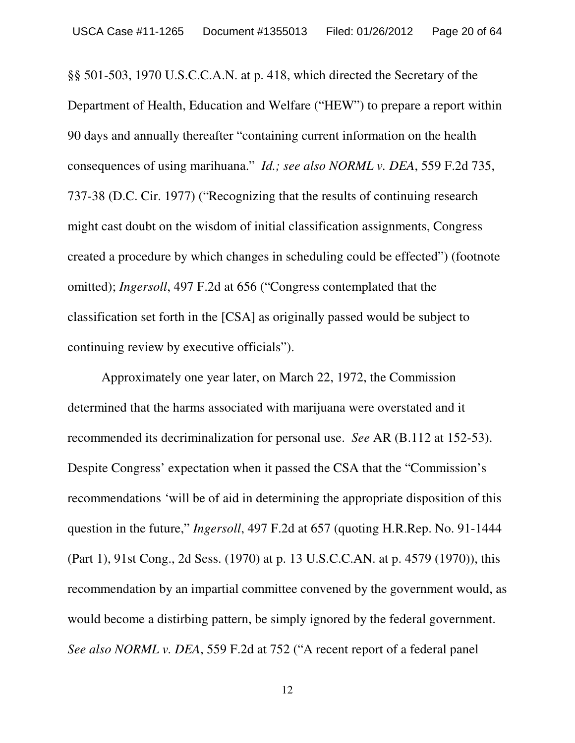§§ 501-503, 1970 U.S.C.C.A.N. at p. 418, which directed the Secretary of the Department of Health, Education and Welfare ("HEW") to prepare a report within 90 days and annually thereafter "containing current information on the health consequences of using marihuana." *Id.; see also NORML v. DEA*, 559 F.2d 735, 737-38 (D.C. Cir. 1977) ("Recognizing that the results of continuing research might cast doubt on the wisdom of initial classification assignments, Congress created a procedure by which changes in scheduling could be effected") (footnote omitted); *Ingersoll*, 497 F.2d at 656 ("Congress contemplated that the classification set forth in the [CSA] as originally passed would be subject to continuing review by executive officials").

Approximately one year later, on March 22, 1972, the Commission determined that the harms associated with marijuana were overstated and it recommended its decriminalization for personal use. *See* AR (B.112 at 152-53). Despite Congress' expectation when it passed the CSA that the "Commission's recommendations 'will be of aid in determining the appropriate disposition of this question in the future," *Ingersoll*, 497 F.2d at 657 (quoting H.R.Rep. No. 91-1444 (Part 1), 91st Cong., 2d Sess. (1970) at p. 13 U.S.C.C.AN. at p. 4579 (1970)), this recommendation by an impartial committee convened by the government would, as would become a distirbing pattern, be simply ignored by the federal government. *See also NORML v. DEA*, 559 F.2d at 752 ("A recent report of a federal panel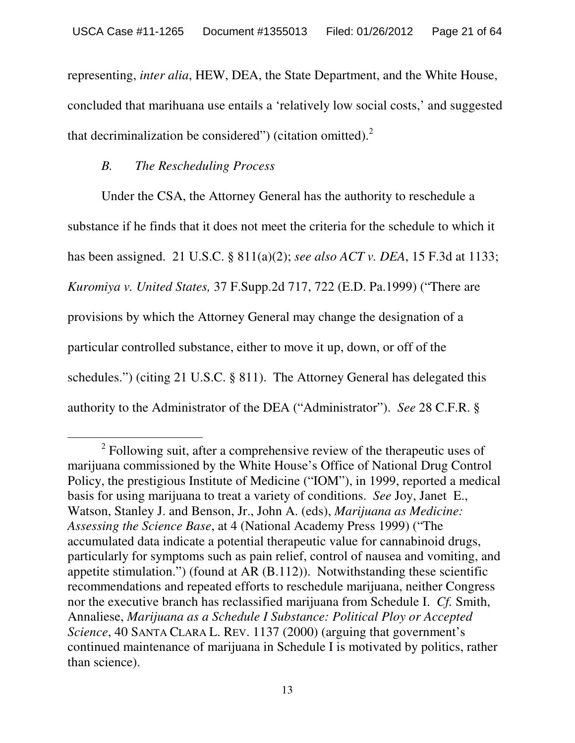representing, *inter alia*, HEW, DEA, the State Department, and the White House, concluded that marihuana use entails a 'relatively low social costs,' and suggested that decriminalization be considered") (citation omitted).<sup>2</sup>

# *B. The Rescheduling Process*

Under the CSA, the Attorney General has the authority to reschedule a substance if he finds that it does not meet the criteria for the schedule to which it has been assigned. 21 U.S.C. § 811(a)(2); *see also ACT v. DEA*, 15 F.3d at 1133; *Kuromiya v. United States,* 37 F.Supp.2d 717, 722 (E.D. Pa.1999) ("There are provisions by which the Attorney General may change the designation of a particular controlled substance, either to move it up, down, or off of the schedules.") (citing 21 U.S.C. § 811). The Attorney General has delegated this authority to the Administrator of the DEA ("Administrator"). *See* 28 C.F.R. §

 $2$  Following suit, after a comprehensive review of the therapeutic uses of marijuana commissioned by the White House's Office of National Drug Control Policy, the prestigious Institute of Medicine ("IOM"), in 1999, reported a medical basis for using marijuana to treat a variety of conditions. *See* Joy, Janet E., Watson, Stanley J. and Benson, Jr., John A. (eds), *Marijuana as Medicine: Assessing the Science Base*, at 4 (National Academy Press 1999) ("The accumulated data indicate a potential therapeutic value for cannabinoid drugs, particularly for symptoms such as pain relief, control of nausea and vomiting, and appetite stimulation.") (found at AR (B.112)). Notwithstanding these scientific recommendations and repeated efforts to reschedule marijuana, neither Congress nor the executive branch has reclassified marijuana from Schedule I. *Cf.* Smith, Annaliese, *Marijuana as a Schedule I Substance: Political Ploy or Accepted Science*, 40 SANTA CLARA L. REV. 1137 (2000) (arguing that government's continued maintenance of marijuana in Schedule I is motivated by politics, rather than science).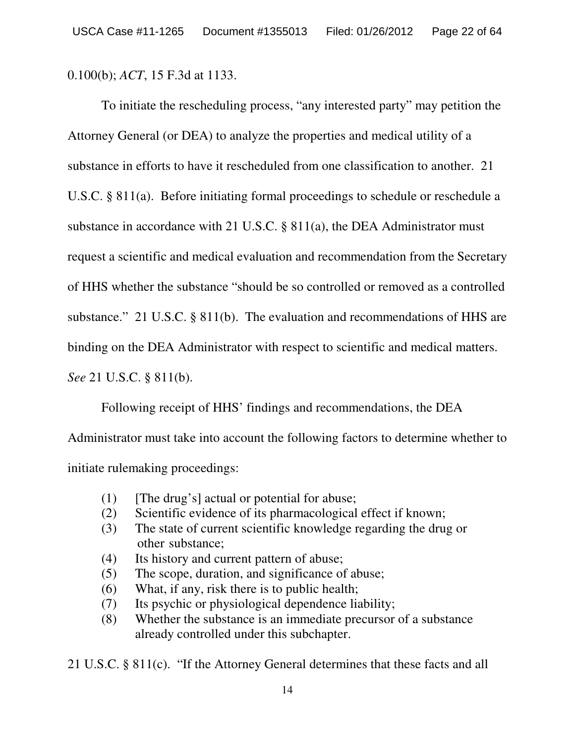0.100(b); *ACT*, 15 F.3d at 1133.

To initiate the rescheduling process, "any interested party" may petition the Attorney General (or DEA) to analyze the properties and medical utility of a substance in efforts to have it rescheduled from one classification to another. 21 U.S.C. § 811(a). Before initiating formal proceedings to schedule or reschedule a substance in accordance with 21 U.S.C. § 811(a), the DEA Administrator must request a scientific and medical evaluation and recommendation from the Secretary of HHS whether the substance "should be so controlled or removed as a controlled substance." 21 U.S.C. § 811(b). The evaluation and recommendations of HHS are binding on the DEA Administrator with respect to scientific and medical matters. *See* 21 U.S.C. § 811(b).

Following receipt of HHS' findings and recommendations, the DEA

Administrator must take into account the following factors to determine whether to initiate rulemaking proceedings:

- $(1)$  [The drug's] actual or potential for abuse;
- (2) Scientific evidence of its pharmacological effect if known;
- (3) The state of current scientific knowledge regarding the drug or other substance;
- (4) Its history and current pattern of abuse;
- (5) The scope, duration, and significance of abuse;
- (6) What, if any, risk there is to public health;
- (7) Its psychic or physiological dependence liability;
- (8) Whether the substance is an immediate precursor of a substance already controlled under this subchapter.

21 U.S.C. § 811(c). "If the Attorney General determines that these facts and all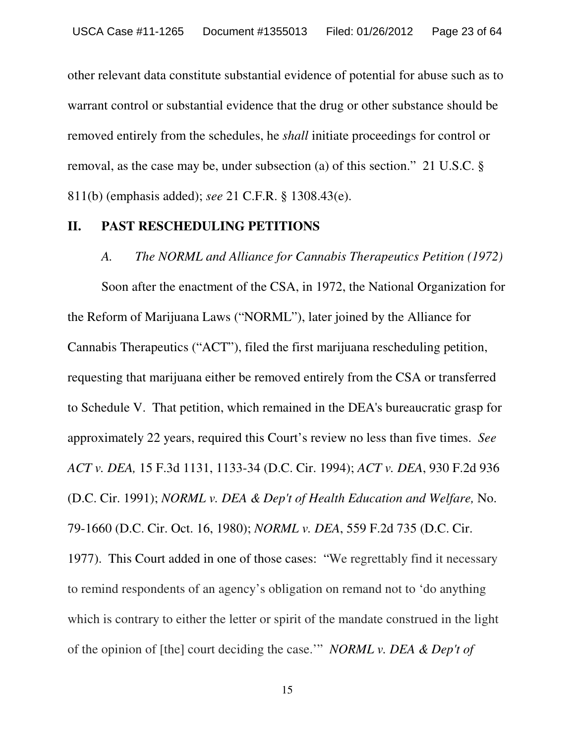other relevant data constitute substantial evidence of potential for abuse such as to warrant control or substantial evidence that the drug or other substance should be removed entirely from the schedules, he *shall* initiate proceedings for control or removal, as the case may be, under subsection (a) of this section." 21 U.S.C. § 811(b) (emphasis added); *see* 21 C.F.R. § 1308.43(e).

#### **II. PAST RESCHEDULING PETITIONS**

#### *A. The NORML and Alliance for Cannabis Therapeutics Petition (1972)*

Soon after the enactment of the CSA, in 1972, the National Organization for the Reform of Marijuana Laws ("NORML"), later joined by the Alliance for Cannabis Therapeutics ("ACT"), filed the first marijuana rescheduling petition, requesting that marijuana either be removed entirely from the CSA or transferred to Schedule V. That petition, which remained in the DEA's bureaucratic grasp for approximately 22 years, required this Court's review no less than five times. *See ACT v. DEA,* 15 F.3d 1131, 1133-34 (D.C. Cir. 1994); *ACT v. DEA*, 930 F.2d 936 (D.C. Cir. 1991); *NORML v. DEA & Dep't of Health Education and Welfare,* No. 79-1660 (D.C. Cir. Oct. 16, 1980); *NORML v. DEA*, 559 F.2d 735 (D.C. Cir. 1977). This Court added in one of those cases: "We regrettably find it necessary to remind respondents of an agency's obligation on remand not to 'do anything which is contrary to either the letter or spirit of the mandate construed in the light of the opinion of [the] court deciding the case.'" *NORML v. DEA & Dep't of*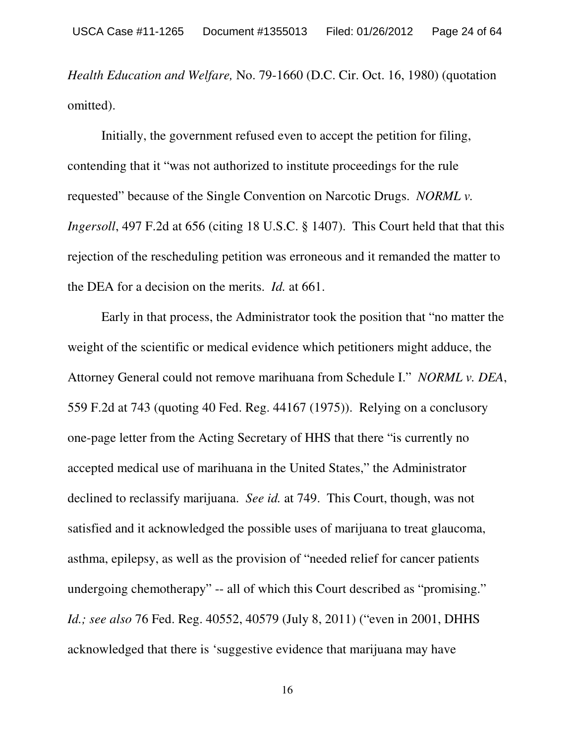*Health Education and Welfare,* No. 79-1660 (D.C. Cir. Oct. 16, 1980) (quotation omitted).

Initially, the government refused even to accept the petition for filing, contending that it "was not authorized to institute proceedings for the rule requested" because of the Single Convention on Narcotic Drugs. *NORML v. Ingersoll*, 497 F.2d at 656 (citing 18 U.S.C. § 1407). This Court held that that this rejection of the rescheduling petition was erroneous and it remanded the matter to the DEA for a decision on the merits. *Id.* at 661.

Early in that process, the Administrator took the position that "no matter the weight of the scientific or medical evidence which petitioners might adduce, the Attorney General could not remove marihuana from Schedule I." *NORML v. DEA*, 559 F.2d at 743 (quoting 40 Fed. Reg. 44167 (1975)). Relying on a conclusory one-page letter from the Acting Secretary of HHS that there "is currently no accepted medical use of marihuana in the United States," the Administrator declined to reclassify marijuana. *See id.* at 749. This Court, though, was not satisfied and it acknowledged the possible uses of marijuana to treat glaucoma, asthma, epilepsy, as well as the provision of "needed relief for cancer patients undergoing chemotherapy" -- all of which this Court described as "promising." *Id.; see also* 76 Fed. Reg. 40552, 40579 (July 8, 2011) ("even in 2001, DHHS acknowledged that there is 'suggestive evidence that marijuana may have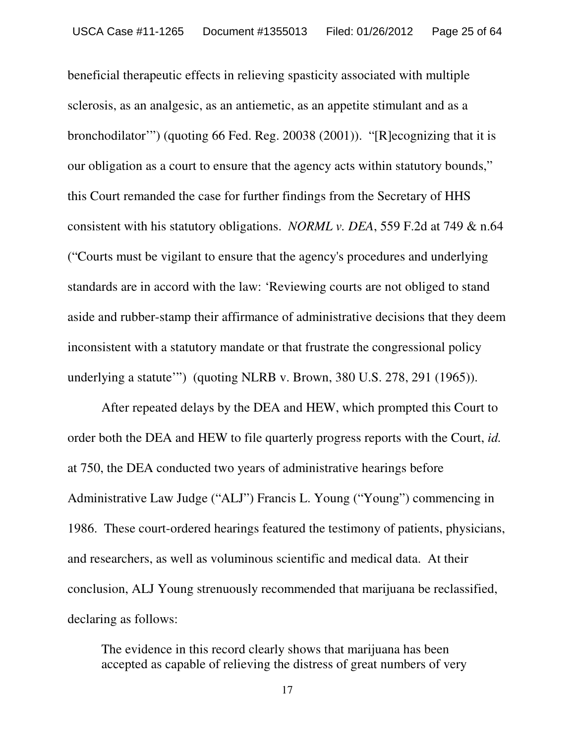beneficial therapeutic effects in relieving spasticity associated with multiple sclerosis, as an analgesic, as an antiemetic, as an appetite stimulant and as a bronchodilator'") (quoting 66 Fed. Reg. 20038 (2001)). "[R]ecognizing that it is our obligation as a court to ensure that the agency acts within statutory bounds," this Court remanded the case for further findings from the Secretary of HHS consistent with his statutory obligations. *NORML v. DEA*, 559 F.2d at 749 & n.64 ("Courts must be vigilant to ensure that the agency's procedures and underlying standards are in accord with the law: 'Reviewing courts are not obliged to stand aside and rubber-stamp their affirmance of administrative decisions that they deem inconsistent with a statutory mandate or that frustrate the congressional policy underlying a statute'") (quoting NLRB v. Brown, 380 U.S. 278, 291 (1965)).

After repeated delays by the DEA and HEW, which prompted this Court to order both the DEA and HEW to file quarterly progress reports with the Court, *id.* at 750, the DEA conducted two years of administrative hearings before Administrative Law Judge ("ALJ") Francis L. Young ("Young") commencing in 1986. These court-ordered hearings featured the testimony of patients, physicians, and researchers, as well as voluminous scientific and medical data. At their conclusion, ALJ Young strenuously recommended that marijuana be reclassified, declaring as follows:

The evidence in this record clearly shows that marijuana has been accepted as capable of relieving the distress of great numbers of very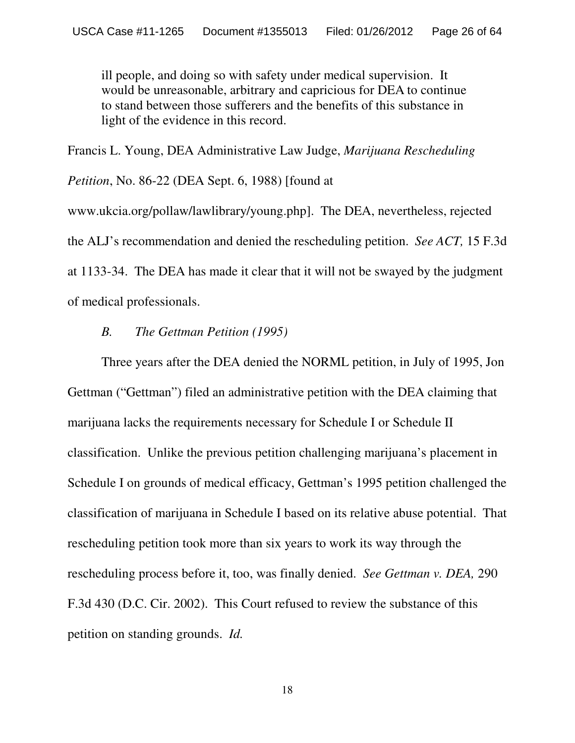ill people, and doing so with safety under medical supervision. It would be unreasonable, arbitrary and capricious for DEA to continue to stand between those sufferers and the benefits of this substance in light of the evidence in this record.

Francis L. Young, DEA Administrative Law Judge, *Marijuana Rescheduling Petition*, No. 86-22 (DEA Sept. 6, 1988) [found at www.ukcia.org/pollaw/lawlibrary/young.php]. The DEA, nevertheless, rejected the ALJ's recommendation and denied the rescheduling petition. *See ACT,* 15 F.3d at 1133-34. The DEA has made it clear that it will not be swayed by the judgment of medical professionals.

#### *B. The Gettman Petition (1995)*

Three years after the DEA denied the NORML petition, in July of 1995, Jon Gettman ("Gettman") filed an administrative petition with the DEA claiming that marijuana lacks the requirements necessary for Schedule I or Schedule II classification. Unlike the previous petition challenging marijuana's placement in Schedule I on grounds of medical efficacy, Gettman's 1995 petition challenged the classification of marijuana in Schedule I based on its relative abuse potential. That rescheduling petition took more than six years to work its way through the rescheduling process before it, too, was finally denied. *See Gettman v. DEA,* 290 F.3d 430 (D.C. Cir. 2002). This Court refused to review the substance of this petition on standing grounds. *Id.*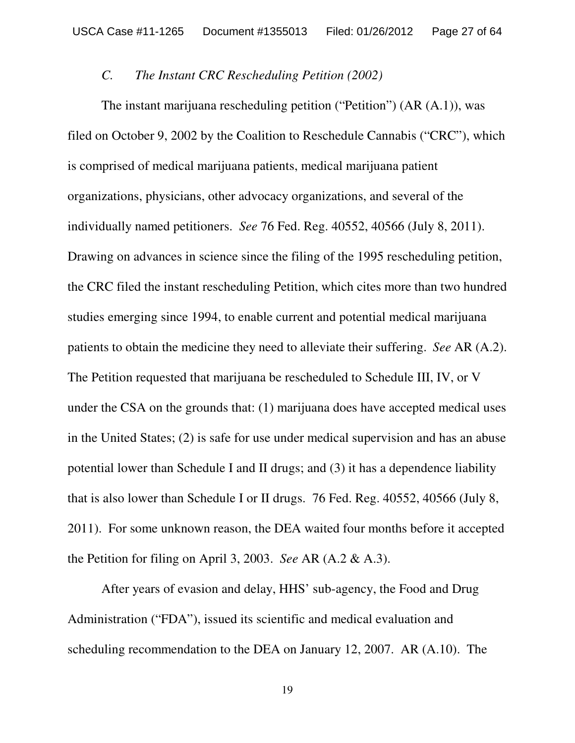#### *C. The Instant CRC Rescheduling Petition (2002)*

The instant marijuana rescheduling petition ("Petition") (AR (A.1)), was filed on October 9, 2002 by the Coalition to Reschedule Cannabis ("CRC"), which is comprised of medical marijuana patients, medical marijuana patient organizations, physicians, other advocacy organizations, and several of the individually named petitioners. *See* 76 Fed. Reg. 40552, 40566 (July 8, 2011). Drawing on advances in science since the filing of the 1995 rescheduling petition, the CRC filed the instant rescheduling Petition, which cites more than two hundred studies emerging since 1994, to enable current and potential medical marijuana patients to obtain the medicine they need to alleviate their suffering. *See* AR (A.2). The Petition requested that marijuana be rescheduled to Schedule III, IV, or V under the CSA on the grounds that: (1) marijuana does have accepted medical uses in the United States; (2) is safe for use under medical supervision and has an abuse potential lower than Schedule I and II drugs; and (3) it has a dependence liability that is also lower than Schedule I or II drugs. 76 Fed. Reg. 40552, 40566 (July 8, 2011). For some unknown reason, the DEA waited four months before it accepted the Petition for filing on April 3, 2003. *See* AR (A.2 & A.3).

After years of evasion and delay, HHS' sub-agency, the Food and Drug Administration ("FDA"), issued its scientific and medical evaluation and scheduling recommendation to the DEA on January 12, 2007. AR (A.10). The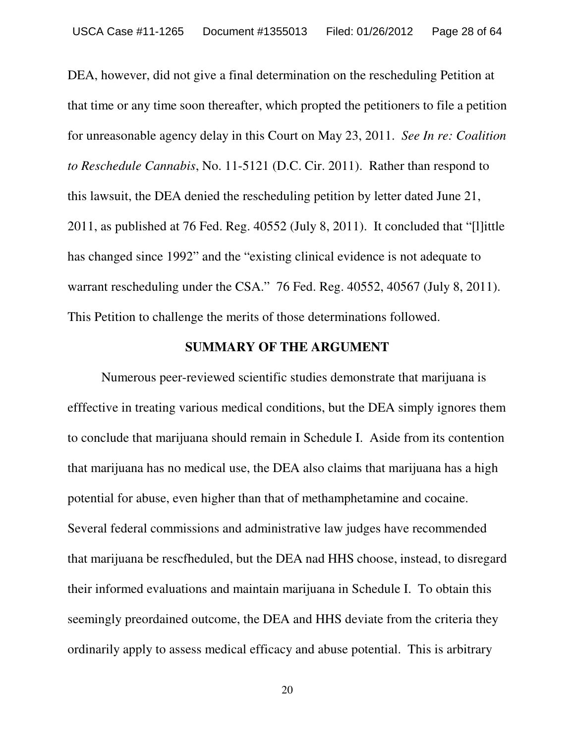DEA, however, did not give a final determination on the rescheduling Petition at that time or any time soon thereafter, which propted the petitioners to file a petition for unreasonable agency delay in this Court on May 23, 2011. *See In re: Coalition to Reschedule Cannabis*, No. 11-5121 (D.C. Cir. 2011). Rather than respond to this lawsuit, the DEA denied the rescheduling petition by letter dated June 21, 2011, as published at 76 Fed. Reg. 40552 (July 8, 2011). It concluded that "[l]ittle has changed since 1992" and the "existing clinical evidence is not adequate to warrant rescheduling under the CSA." 76 Fed. Reg. 40552, 40567 (July 8, 2011). This Petition to challenge the merits of those determinations followed.

### **SUMMARY OF THE ARGUMENT**

Numerous peer-reviewed scientific studies demonstrate that marijuana is efffective in treating various medical conditions, but the DEA simply ignores them to conclude that marijuana should remain in Schedule I. Aside from its contention that marijuana has no medical use, the DEA also claims that marijuana has a high potential for abuse, even higher than that of methamphetamine and cocaine. Several federal commissions and administrative law judges have recommended that marijuana be rescfheduled, but the DEA nad HHS choose, instead, to disregard their informed evaluations and maintain marijuana in Schedule I. To obtain this seemingly preordained outcome, the DEA and HHS deviate from the criteria they ordinarily apply to assess medical efficacy and abuse potential. This is arbitrary

20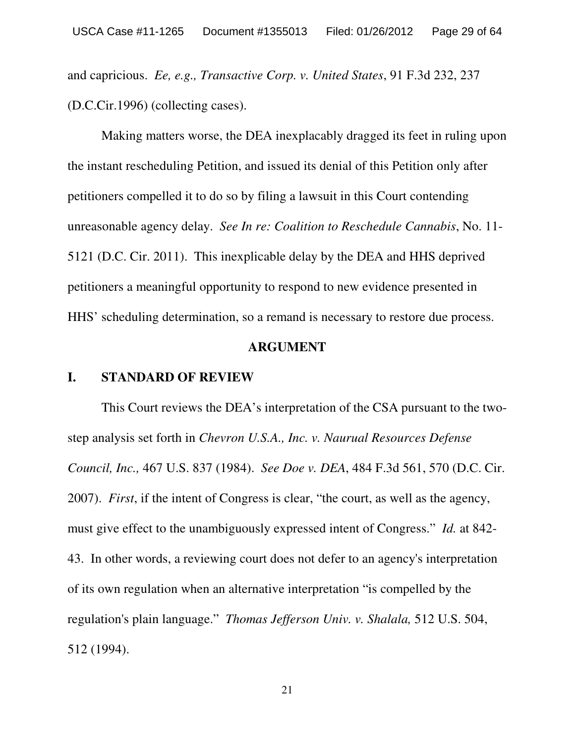and capricious. *Ee, e.g., Transactive Corp. v. United States*, 91 F.3d 232, 237 (D.C.Cir.1996) (collecting cases).

Making matters worse, the DEA inexplacably dragged its feet in ruling upon the instant rescheduling Petition, and issued its denial of this Petition only after petitioners compelled it to do so by filing a lawsuit in this Court contending unreasonable agency delay. *See In re: Coalition to Reschedule Cannabis*, No. 11- 5121 (D.C. Cir. 2011). This inexplicable delay by the DEA and HHS deprived petitioners a meaningful opportunity to respond to new evidence presented in HHS' scheduling determination, so a remand is necessary to restore due process.

#### **ARGUMENT**

### **I. STANDARD OF REVIEW**

This Court reviews the DEA's interpretation of the CSA pursuant to the twostep analysis set forth in *Chevron U.S.A., Inc. v. Naurual Resources Defense Council, Inc.,* 467 U.S. 837 (1984). *See Doe v. DEA*, 484 F.3d 561, 570 (D.C. Cir. 2007). *First*, if the intent of Congress is clear, "the court, as well as the agency, must give effect to the unambiguously expressed intent of Congress." *Id.* at 842- 43. In other words, a reviewing court does not defer to an agency's interpretation of its own regulation when an alternative interpretation "is compelled by the regulation's plain language." *Thomas Jefferson Univ. v. Shalala,* 512 U.S. 504, 512 (1994).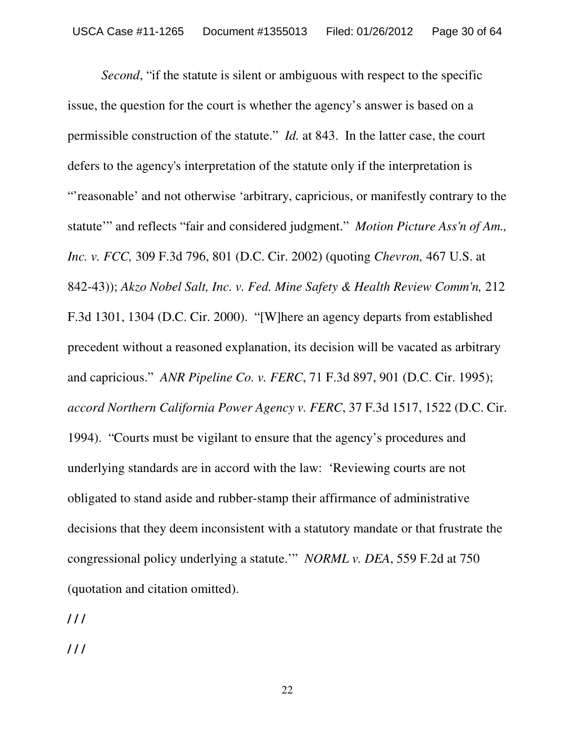*Second*, "if the statute is silent or ambiguous with respect to the specific issue, the question for the court is whether the agency's answer is based on a permissible construction of the statute." *Id.* at 843. In the latter case, the court defers to the agency's interpretation of the statute only if the interpretation is "'reasonable' and not otherwise 'arbitrary, capricious, or manifestly contrary to the statute'" and reflects "fair and considered judgment." *Motion Picture Ass'n of Am., Inc. v. FCC,* 309 F.3d 796, 801 (D.C. Cir. 2002) (quoting *Chevron,* 467 U.S. at 842-43)); *Akzo Nobel Salt, Inc. v. Fed. Mine Safety & Health Review Comm'n,* 212 F.3d 1301, 1304 (D.C. Cir. 2000). "[W]here an agency departs from established precedent without a reasoned explanation, its decision will be vacated as arbitrary and capricious." *ANR Pipeline Co. v. FERC*, 71 F.3d 897, 901 (D.C. Cir. 1995); *accord Northern California Power Agency v. FERC*, 37 F.3d 1517, 1522 (D.C. Cir. 1994). "Courts must be vigilant to ensure that the agency's procedures and underlying standards are in accord with the law: 'Reviewing courts are not obligated to stand aside and rubber-stamp their affirmance of administrative decisions that they deem inconsistent with a statutory mandate or that frustrate the congressional policy underlying a statute.'" *NORML v. DEA*, 559 F.2d at 750 (quotation and citation omitted).

**/ / /**

**/ / /**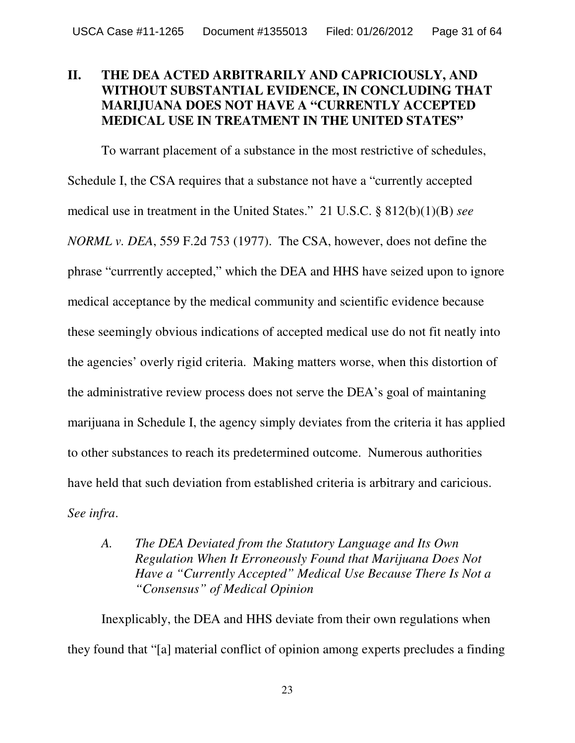# **II. THE DEA ACTED ARBITRARILY AND CAPRICIOUSLY, AND WITHOUT SUBSTANTIAL EVIDENCE, IN CONCLUDING THAT MARIJUANA DOES NOT HAVE A "CURRENTLY ACCEPTED MEDICAL USE IN TREATMENT IN THE UNITED STATES"**

To warrant placement of a substance in the most restrictive of schedules, Schedule I, the CSA requires that a substance not have a "currently accepted medical use in treatment in the United States." 21 U.S.C. § 812(b)(1)(B) *see NORML v. DEA*, 559 F.2d 753 (1977). The CSA, however, does not define the phrase "currrently accepted," which the DEA and HHS have seized upon to ignore medical acceptance by the medical community and scientific evidence because these seemingly obvious indications of accepted medical use do not fit neatly into the agencies' overly rigid criteria. Making matters worse, when this distortion of the administrative review process does not serve the DEA's goal of maintaning marijuana in Schedule I, the agency simply deviates from the criteria it has applied to other substances to reach its predetermined outcome. Numerous authorities have held that such deviation from established criteria is arbitrary and caricious. *See infra*.

*A. The DEA Deviated from the Statutory Language and Its Own Regulation When It Erroneously Found that Marijuana Does Not Have a "Currently Accepted" Medical Use Because There Is Not a "Consensus" of Medical Opinion*

Inexplicably, the DEA and HHS deviate from their own regulations when they found that "[a] material conflict of opinion among experts precludes a finding

23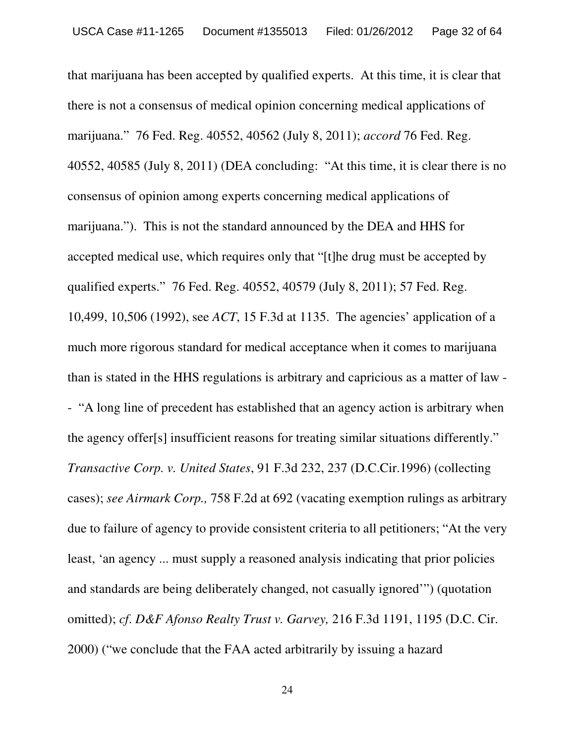that marijuana has been accepted by qualified experts. At this time, it is clear that there is not a consensus of medical opinion concerning medical applications of marijuana." 76 Fed. Reg. 40552, 40562 (July 8, 2011); *accord* 76 Fed. Reg. 40552, 40585 (July 8, 2011) (DEA concluding: "At this time, it is clear there is no consensus of opinion among experts concerning medical applications of marijuana."). This is not the standard announced by the DEA and HHS for accepted medical use, which requires only that "[t]he drug must be accepted by qualified experts." 76 Fed. Reg. 40552, 40579 (July 8, 2011); 57 Fed. Reg. 10,499, 10,506 (1992), see *ACT*, 15 F.3d at 1135. The agencies' application of a much more rigorous standard for medical acceptance when it comes to marijuana than is stated in the HHS regulations is arbitrary and capricious as a matter of law - - "A long line of precedent has established that an agency action is arbitrary when the agency offer[s] insufficient reasons for treating similar situations differently." *Transactive Corp. v. United States*, 91 F.3d 232, 237 (D.C.Cir.1996) (collecting cases); *see Airmark Corp.,* 758 F.2d at 692 (vacating exemption rulings as arbitrary due to failure of agency to provide consistent criteria to all petitioners; "At the very least, 'an agency ... must supply a reasoned analysis indicating that prior policies and standards are being deliberately changed, not casually ignored'") (quotation omitted); *cf*. *D&F Afonso Realty Trust v. Garvey,* 216 F.3d 1191, 1195 (D.C. Cir. 2000) ("we conclude that the FAA acted arbitrarily by issuing a hazard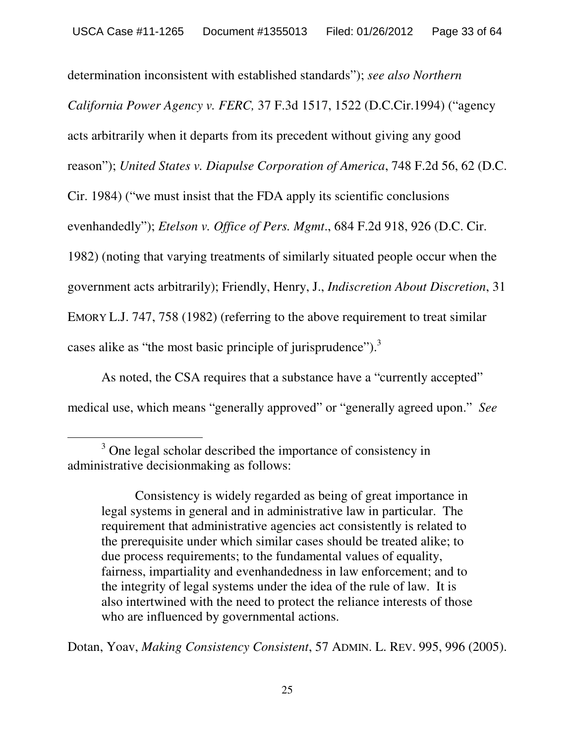determination inconsistent with established standards"); *see also Northern California Power Agency v. FERC,* 37 F.3d 1517, 1522 (D.C.Cir.1994) ("agency acts arbitrarily when it departs from its precedent without giving any good reason"); *United States v. Diapulse Corporation of America*, 748 F.2d 56, 62 (D.C. Cir. 1984) ("we must insist that the FDA apply its scientific conclusions evenhandedly"); *Etelson v. Office of Pers. Mgmt*., 684 F.2d 918, 926 (D.C. Cir. 1982) (noting that varying treatments of similarly situated people occur when the government acts arbitrarily); Friendly, Henry, J., *Indiscretion About Discretion*, 31 EMORY L.J. 747, 758 (1982) (referring to the above requirement to treat similar cases alike as "the most basic principle of jurisprudence").<sup>3</sup>

As noted, the CSA requires that a substance have a "currently accepted" medical use, which means "generally approved" or "generally agreed upon." *See*

Consistency is widely regarded as being of great importance in legal systems in general and in administrative law in particular. The requirement that administrative agencies act consistently is related to the prerequisite under which similar cases should be treated alike; to due process requirements; to the fundamental values of equality, fairness, impartiality and evenhandedness in law enforcement; and to the integrity of legal systems under the idea of the rule of law. It is also intertwined with the need to protect the reliance interests of those who are influenced by governmental actions.

Dotan, Yoav, *Making Consistency Consistent*, 57 ADMIN. L. REV. 995, 996 (2005).

<sup>&</sup>lt;sup>3</sup> One legal scholar described the importance of consistency in administrative decisionmaking as follows: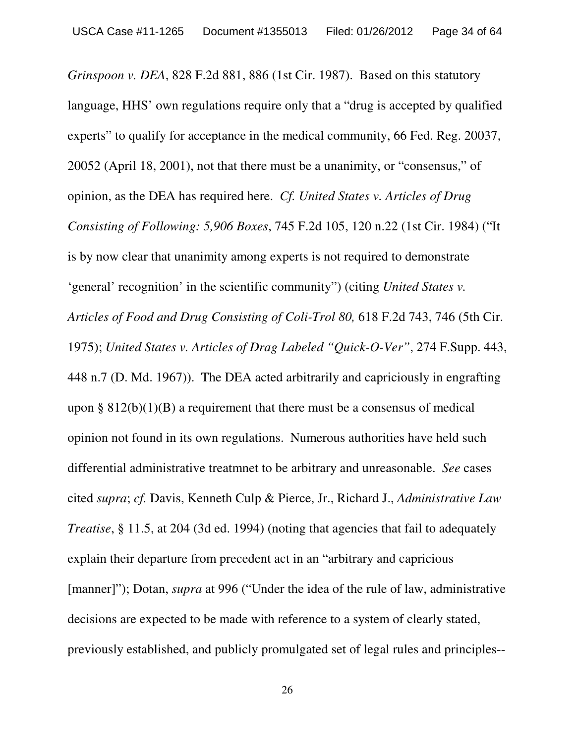*Grinspoon v. DEA*, 828 F.2d 881, 886 (1st Cir. 1987). Based on this statutory language, HHS' own regulations require only that a "drug is accepted by qualified experts" to qualify for acceptance in the medical community, 66 Fed. Reg. 20037, 20052 (April 18, 2001), not that there must be a unanimity, or "consensus," of opinion, as the DEA has required here. *Cf. United States v. Articles of Drug Consisting of Following: 5,906 Boxes*, 745 F.2d 105, 120 n.22 (1st Cir. 1984) ("It is by now clear that unanimity among experts is not required to demonstrate 'general' recognition' in the scientific community") (citing *United States v. Articles of Food and Drug Consisting of Coli-Trol 80,* 618 F.2d 743, 746 (5th Cir. 1975); *United States v. Articles of Drag Labeled "Quick-O-Ver"*, 274 F.Supp. 443, 448 n.7 (D. Md. 1967)). The DEA acted arbitrarily and capriciously in engrafting upon §  $812(b)(1)(B)$  a requirement that there must be a consensus of medical opinion not found in its own regulations. Numerous authorities have held such differential administrative treatmnet to be arbitrary and unreasonable. *See* cases cited *supra*; *cf.* Davis, Kenneth Culp & Pierce, Jr., Richard J., *Administrative Law Treatise*, § 11.5, at 204 (3d ed. 1994) (noting that agencies that fail to adequately explain their departure from precedent act in an "arbitrary and capricious [manner]"); Dotan, *supra* at 996 ("Under the idea of the rule of law, administrative decisions are expected to be made with reference to a system of clearly stated, previously established, and publicly promulgated set of legal rules and principles--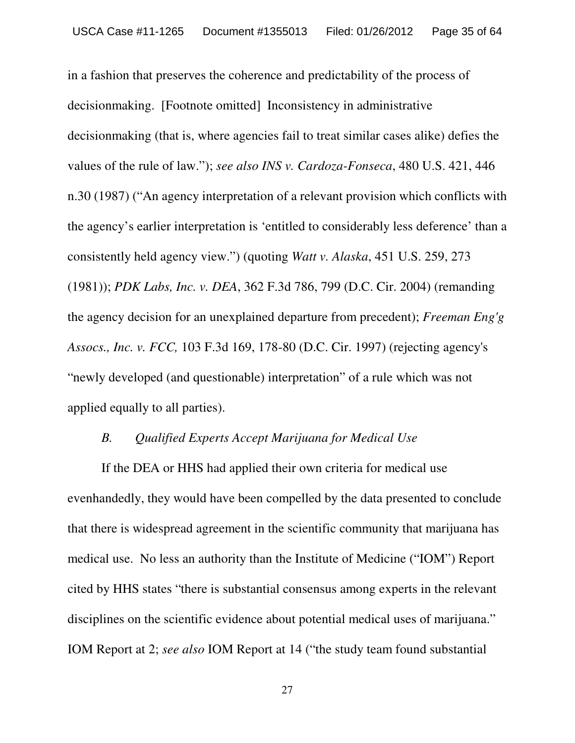in a fashion that preserves the coherence and predictability of the process of decisionmaking. [Footnote omitted] Inconsistency in administrative decisionmaking (that is, where agencies fail to treat similar cases alike) defies the values of the rule of law."); *see also INS v. Cardoza-Fonseca*, 480 U.S. 421, 446 n.30 (1987) ("An agency interpretation of a relevant provision which conflicts with the agency's earlier interpretation is 'entitled to considerably less deference' than a consistently held agency view.") (quoting *Watt v. Alaska*, 451 U.S. 259, 273 (1981)); *PDK Labs, Inc. v. DEA*, 362 F.3d 786, 799 (D.C. Cir. 2004) (remanding the agency decision for an unexplained departure from precedent); *Freeman Eng'g Assocs., Inc. v. FCC,* 103 F.3d 169, 178-80 (D.C. Cir. 1997) (rejecting agency's "newly developed (and questionable) interpretation" of a rule which was not applied equally to all parties).

#### *B. Qualified Experts Accept Marijuana for Medical Use*

If the DEA or HHS had applied their own criteria for medical use evenhandedly, they would have been compelled by the data presented to conclude that there is widespread agreement in the scientific community that marijuana has medical use. No less an authority than the Institute of Medicine ("IOM") Report cited by HHS states "there is substantial consensus among experts in the relevant disciplines on the scientific evidence about potential medical uses of marijuana." IOM Report at 2; *see also* IOM Report at 14 ("the study team found substantial

27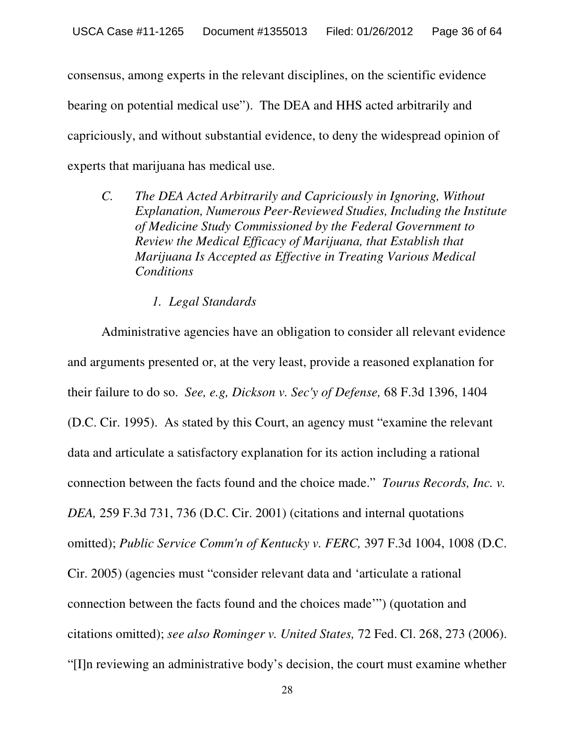consensus, among experts in the relevant disciplines, on the scientific evidence bearing on potential medical use"). The DEA and HHS acted arbitrarily and capriciously, and without substantial evidence, to deny the widespread opinion of experts that marijuana has medical use.

- *C. The DEA Acted Arbitrarily and Capriciously in Ignoring, Without Explanation, Numerous Peer-Reviewed Studies, Including the Institute of Medicine Study Commissioned by the Federal Government to Review the Medical Efficacy of Marijuana, that Establish that Marijuana Is Accepted as Effective in Treating Various Medical Conditions*
	- *1. Legal Standards*

Administrative agencies have an obligation to consider all relevant evidence and arguments presented or, at the very least, provide a reasoned explanation for their failure to do so. *See, e.g, Dickson v. Sec'y of Defense,* 68 F.3d 1396, 1404 (D.C. Cir. 1995). As stated by this Court, an agency must "examine the relevant data and articulate a satisfactory explanation for its action including a rational connection between the facts found and the choice made." *Tourus Records, Inc. v. DEA,* 259 F.3d 731, 736 (D.C. Cir. 2001) (citations and internal quotations omitted); *Public Service Comm'n of Kentucky v. FERC,* 397 F.3d 1004, 1008 (D.C. Cir. 2005) (agencies must "consider relevant data and 'articulate a rational connection between the facts found and the choices made'") (quotation and citations omitted); *see also Rominger v. United States,* 72 Fed. Cl. 268, 273 (2006). "[I]n reviewing an administrative body's decision, the court must examine whether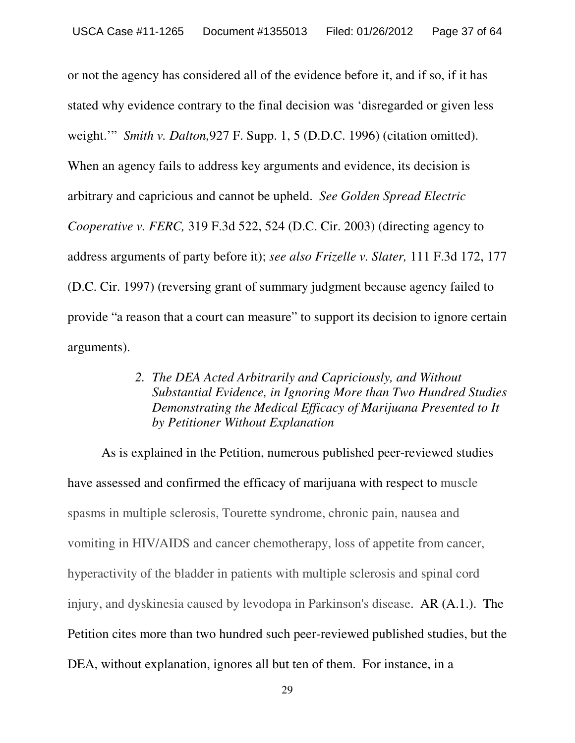or not the agency has considered all of the evidence before it, and if so, if it has stated why evidence contrary to the final decision was 'disregarded or given less weight.'" *Smith v. Dalton,*927 F. Supp. 1, 5 (D.D.C. 1996) (citation omitted). When an agency fails to address key arguments and evidence, its decision is arbitrary and capricious and cannot be upheld. *See Golden Spread Electric Cooperative v. FERC,* 319 F.3d 522, 524 (D.C. Cir. 2003) (directing agency to address arguments of party before it); *see also Frizelle v. Slater,* 111 F.3d 172, 177 (D.C. Cir. 1997) (reversing grant of summary judgment because agency failed to provide "a reason that a court can measure" to support its decision to ignore certain arguments).

> *2. The DEA Acted Arbitrarily and Capriciously, and Without Substantial Evidence, in Ignoring More than Two Hundred Studies Demonstrating the Medical Efficacy of Marijuana Presented to It by Petitioner Without Explanation*

As is explained in the Petition, numerous published peer-reviewed studies have assessed and confirmed the efficacy of marijuana with respect to muscle spasms in multiple sclerosis, Tourette syndrome, chronic pain, nausea and vomiting in HIV/AIDS and cancer chemotherapy, loss of appetite from cancer, hyperactivity of the bladder in patients with multiple sclerosis and spinal cord injury, and dyskinesia caused by levodopa in Parkinson's disease. AR (A.1.). The Petition cites more than two hundred such peer-reviewed published studies, but the DEA, without explanation, ignores all but ten of them. For instance, in a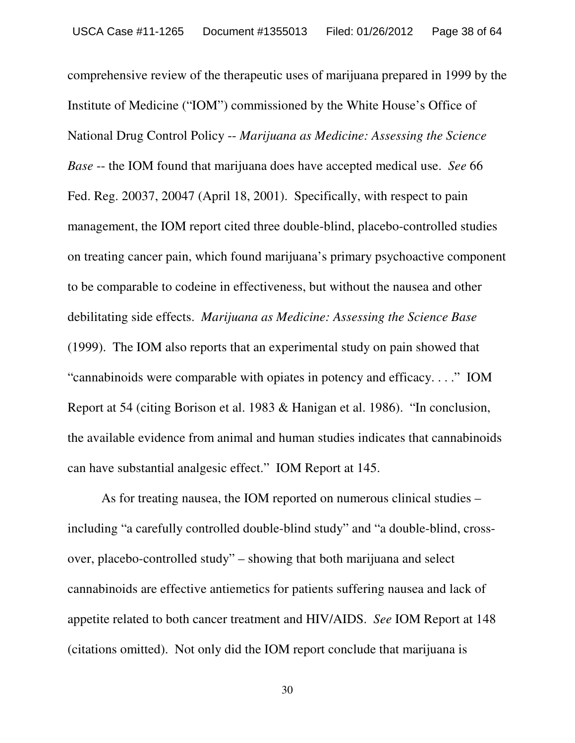comprehensive review of the therapeutic uses of marijuana prepared in 1999 by the Institute of Medicine ("IOM") commissioned by the White House's Office of National Drug Control Policy -- *Marijuana as Medicine: Assessing the Science Base* -- the IOM found that marijuana does have accepted medical use. *See* 66 Fed. Reg. 20037, 20047 (April 18, 2001). Specifically, with respect to pain management, the IOM report cited three double-blind, placebo-controlled studies on treating cancer pain, which found marijuana's primary psychoactive component to be comparable to codeine in effectiveness, but without the nausea and other debilitating side effects. *Marijuana as Medicine: Assessing the Science Base* (1999). The IOM also reports that an experimental study on pain showed that "cannabinoids were comparable with opiates in potency and efficacy. . . ." IOM Report at 54 (citing Borison et al. 1983 & Hanigan et al. 1986). "In conclusion, the available evidence from animal and human studies indicates that cannabinoids can have substantial analgesic effect." IOM Report at 145.

As for treating nausea, the IOM reported on numerous clinical studies – including "a carefully controlled double-blind study" and "a double-blind, crossover, placebo-controlled study" – showing that both marijuana and select cannabinoids are effective antiemetics for patients suffering nausea and lack of appetite related to both cancer treatment and HIV/AIDS. *See* IOM Report at 148 (citations omitted). Not only did the IOM report conclude that marijuana is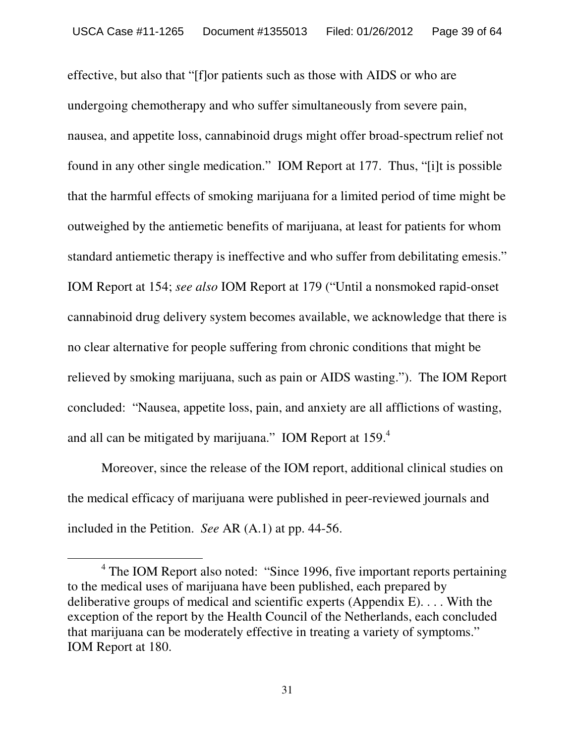effective, but also that "[f]or patients such as those with AIDS or who are undergoing chemotherapy and who suffer simultaneously from severe pain, nausea, and appetite loss, cannabinoid drugs might offer broad-spectrum relief not found in any other single medication." IOM Report at 177. Thus, "[i]t is possible that the harmful effects of smoking marijuana for a limited period of time might be outweighed by the antiemetic benefits of marijuana, at least for patients for whom standard antiemetic therapy is ineffective and who suffer from debilitating emesis." IOM Report at 154; *see also* IOM Report at 179 ("Until a nonsmoked rapid-onset cannabinoid drug delivery system becomes available, we acknowledge that there is no clear alternative for people suffering from chronic conditions that might be relieved by smoking marijuana, such as pain or AIDS wasting."). The IOM Report concluded: "Nausea, appetite loss, pain, and anxiety are all afflictions of wasting, and all can be mitigated by marijuana." IOM Report at 159.<sup>4</sup>

Moreover, since the release of the IOM report, additional clinical studies on the medical efficacy of marijuana were published in peer-reviewed journals and included in the Petition. *See* AR (A.1) at pp. 44-56.

<sup>&</sup>lt;sup>4</sup> The IOM Report also noted: "Since 1996, five important reports pertaining to the medical uses of marijuana have been published, each prepared by deliberative groups of medical and scientific experts (Appendix E). . . . With the exception of the report by the Health Council of the Netherlands, each concluded that marijuana can be moderately effective in treating a variety of symptoms." IOM Report at 180.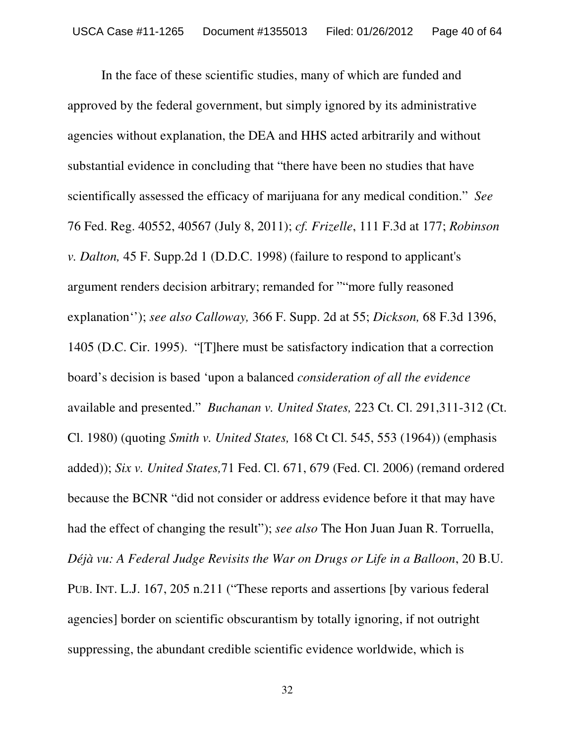In the face of these scientific studies, many of which are funded and approved by the federal government, but simply ignored by its administrative agencies without explanation, the DEA and HHS acted arbitrarily and without substantial evidence in concluding that "there have been no studies that have scientifically assessed the efficacy of marijuana for any medical condition." *See* 76 Fed. Reg. 40552, 40567 (July 8, 2011); *cf. Frizelle*, 111 F.3d at 177; *Robinson v. Dalton,* 45 F. Supp.2d 1 (D.D.C. 1998) (failure to respond to applicant's argument renders decision arbitrary; remanded for ""more fully reasoned explanation''); *see also Calloway,* 366 F. Supp. 2d at 55; *Dickson,* 68 F.3d 1396, 1405 (D.C. Cir. 1995). "[T]here must be satisfactory indication that a correction board's decision is based 'upon a balanced *consideration of all the evidence* available and presented." *Buchanan v. United States,* 223 Ct. Cl. 291,311-312 (Ct. Cl. 1980) (quoting *Smith v. United States,* 168 Ct Cl. 545, 553 (1964)) (emphasis added)); *Six v. United States,*71 Fed. Cl. 671, 679 (Fed. Cl. 2006) (remand ordered because the BCNR "did not consider or address evidence before it that may have had the effect of changing the result"); *see also* The Hon Juan Juan R. Torruella, *Déjà vu: A Federal Judge Revisits the War on Drugs or Life in a Balloon*, 20 B.U. PUB. INT. L.J. 167, 205 n.211 ("These reports and assertions [by various federal agencies] border on scientific obscurantism by totally ignoring, if not outright suppressing, the abundant credible scientific evidence worldwide, which is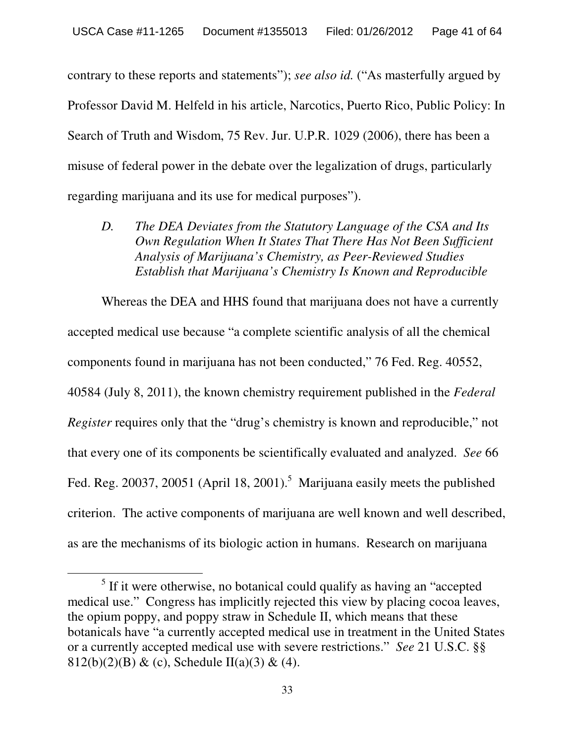contrary to these reports and statements"); *see also id.* ("As masterfully argued by Professor David M. Helfeld in his article, Narcotics, Puerto Rico, Public Policy: In Search of Truth and Wisdom, 75 Rev. Jur. U.P.R. 1029 (2006), there has been a misuse of federal power in the debate over the legalization of drugs, particularly regarding marijuana and its use for medical purposes").

*D. The DEA Deviates from the Statutory Language of the CSA and Its Own Regulation When It States That There Has Not Been Sufficient Analysis of Marijuana's Chemistry, as Peer-Reviewed Studies Establish that Marijuana's Chemistry Is Known and Reproducible*

Whereas the DEA and HHS found that marijuana does not have a currently accepted medical use because "a complete scientific analysis of all the chemical components found in marijuana has not been conducted," 76 Fed. Reg. 40552, 40584 (July 8, 2011), the known chemistry requirement published in the *Federal Register* requires only that the "drug's chemistry is known and reproducible," not that every one of its components be scientifically evaluated and analyzed. *See* 66 Fed. Reg. 20037, 20051 (April 18, 2001).<sup>5</sup> Marijuana easily meets the published criterion. The active components of marijuana are well known and well described, as are the mechanisms of its biologic action in humans. Research on marijuana

 $<sup>5</sup>$  If it were otherwise, no botanical could qualify as having an "accepted"</sup> medical use." Congress has implicitly rejected this view by placing cocoa leaves, the opium poppy, and poppy straw in Schedule II, which means that these botanicals have "a currently accepted medical use in treatment in the United States or a currently accepted medical use with severe restrictions." *See* 21 U.S.C. §§ 812(b)(2)(B) & (c), Schedule II(a)(3) & (4).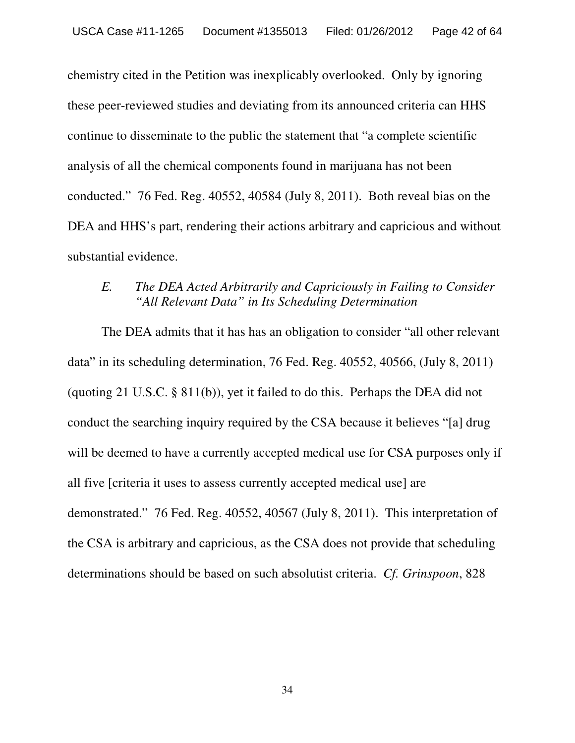chemistry cited in the Petition was inexplicably overlooked. Only by ignoring these peer-reviewed studies and deviating from its announced criteria can HHS continue to disseminate to the public the statement that "a complete scientific analysis of all the chemical components found in marijuana has not been conducted." 76 Fed. Reg. 40552, 40584 (July 8, 2011). Both reveal bias on the DEA and HHS's part, rendering their actions arbitrary and capricious and without substantial evidence.

## *E. The DEA Acted Arbitrarily and Capriciously in Failing to Consider "All Relevant Data" in Its Scheduling Determination*

The DEA admits that it has has an obligation to consider "all other relevant data" in its scheduling determination, 76 Fed. Reg. 40552, 40566, (July 8, 2011) (quoting 21 U.S.C. § 811(b)), yet it failed to do this. Perhaps the DEA did not conduct the searching inquiry required by the CSA because it believes "[a] drug will be deemed to have a currently accepted medical use for CSA purposes only if all five [criteria it uses to assess currently accepted medical use] are demonstrated." 76 Fed. Reg. 40552, 40567 (July 8, 2011). This interpretation of the CSA is arbitrary and capricious, as the CSA does not provide that scheduling determinations should be based on such absolutist criteria. *Cf. Grinspoon*, 828

34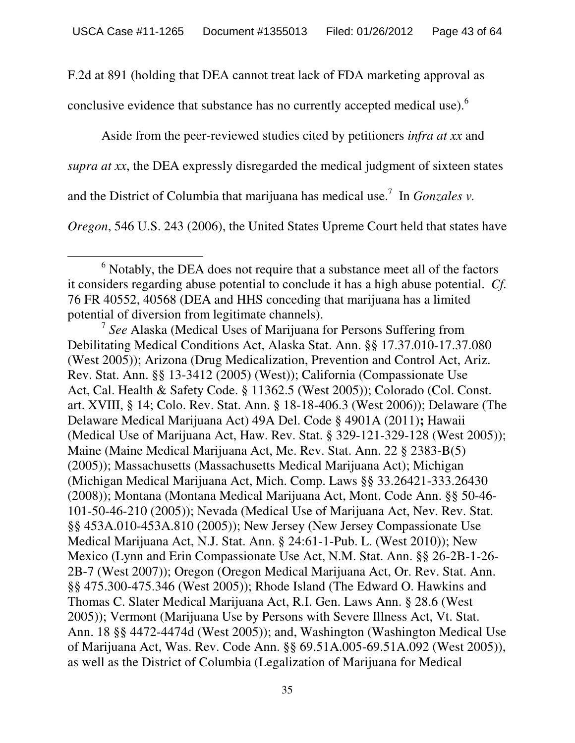F.2d at 891 (holding that DEA cannot treat lack of FDA marketing approval as

conclusive evidence that substance has no currently accepted medical use).  $6^{\circ}$ 

Aside from the peer-reviewed studies cited by petitioners *infra at xx* and *supra at xx*, the DEA expressly disregarded the medical judgment of sixteen states and the District of Columbia that marijuana has medical use. <sup>7</sup> In *Gonzales v.*

*Oregon*, 546 U.S. 243 (2006), the United States Upreme Court held that states have

 $6$  Notably, the DEA does not require that a substance meet all of the factors it considers regarding abuse potential to conclude it has a high abuse potential. *Cf.* 76 FR 40552, 40568 (DEA and HHS conceding that marijuana has a limited potential of diversion from legitimate channels). <sup>7</sup> *See* Alaska (Medical Uses of Marijuana for Persons Suffering from

Debilitating Medical Conditions Act, Alaska Stat. Ann. §§ 17.37.010-17.37.080 (West 2005)); Arizona (Drug Medicalization, Prevention and Control Act, Ariz. Rev. Stat. Ann. §§ 13-3412 (2005) (West)); California (Compassionate Use Act, Cal. Health & Safety Code. § 11362.5 (West 2005)); Colorado (Col. Const. art. XVIII, § 14; Colo. Rev. Stat. Ann. § 18-18-406.3 (West 2006)); Delaware (The Delaware Medical Marijuana Act) 49A Del. Code § 4901A (2011)**;** Hawaii (Medical Use of Marijuana Act, Haw. Rev. Stat. § 329-121-329-128 (West 2005)); Maine (Maine Medical Marijuana Act, Me. Rev. Stat. Ann. 22 § 2383-B(5) (2005)); Massachusetts (Massachusetts Medical Marijuana Act); Michigan (Michigan Medical Marijuana Act, Mich. Comp. Laws §§ 33.26421-333.26430 (2008)); Montana (Montana Medical Marijuana Act, Mont. Code Ann. §§ 50-46- 101-50-46-210 (2005)); Nevada (Medical Use of Marijuana Act, Nev. Rev. Stat. §§ 453A.010-453A.810 (2005)); New Jersey (New Jersey Compassionate Use Medical Marijuana Act, N.J. Stat. Ann. § 24:61-1-Pub. L. (West 2010)); New Mexico (Lynn and Erin Compassionate Use Act, N.M. Stat. Ann. §§ 26-2B-1-26- 2B-7 (West 2007)); Oregon (Oregon Medical Marijuana Act, Or. Rev. Stat. Ann. §§ 475.300-475.346 (West 2005)); Rhode Island (The Edward O. Hawkins and Thomas C. Slater Medical Marijuana Act, R.I. Gen. Laws Ann. § 28.6 (West 2005)); Vermont (Marijuana Use by Persons with Severe Illness Act, Vt. Stat. Ann. 18 §§ 4472-4474d (West 2005)); and, Washington (Washington Medical Use of Marijuana Act, Was. Rev. Code Ann. §§ 69.51A.005-69.51A.092 (West 2005)), as well as the District of Columbia (Legalization of Marijuana for Medical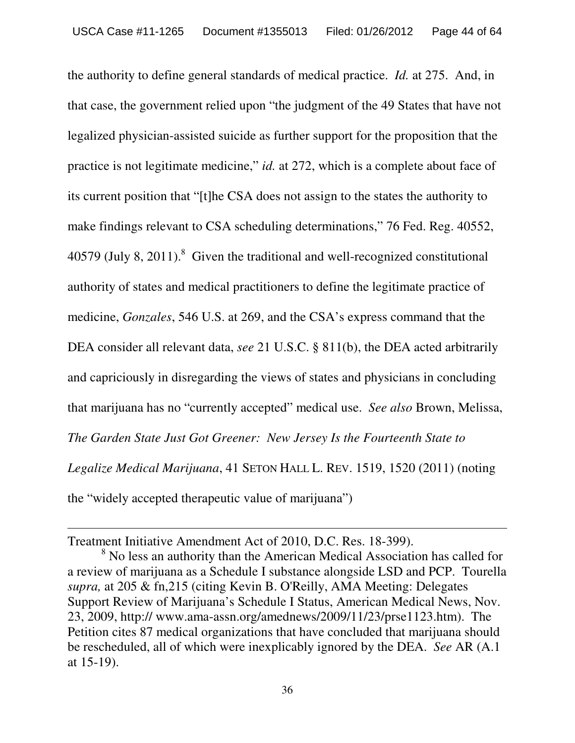the authority to define general standards of medical practice. *Id.* at 275. And, in that case, the government relied upon "the judgment of the 49 States that have not legalized physician-assisted suicide as further support for the proposition that the practice is not legitimate medicine," *id.* at 272, which is a complete about face of its current position that "[t]he CSA does not assign to the states the authority to make findings relevant to CSA scheduling determinations," 76 Fed. Reg. 40552,  $40579$  (July 8, 2011).<sup>8</sup> Given the traditional and well-recognized constitutional authority of states and medical practitioners to define the legitimate practice of medicine, *Gonzales*, 546 U.S. at 269, and the CSA's express command that the DEA consider all relevant data, *see* 21 U.S.C. § 811(b), the DEA acted arbitrarily and capriciously in disregarding the views of states and physicians in concluding that marijuana has no "currently accepted" medical use. *See also* Brown, Melissa, *The Garden State Just Got Greener: New Jersey Is the Fourteenth State to Legalize Medical Marijuana*, 41 SETON HALL L. REV. 1519, 1520 (2011) (noting the "widely accepted therapeutic value of marijuana")

Treatment Initiative Amendment Act of 2010, D.C. Res. 18-399).<br><sup>8</sup> No less an authority than the American Medical Association has called for a review of marijuana as a Schedule I substance alongside LSD and PCP. Tourella *supra,* at 205 & fn,215 (citing Kevin B. O'Reilly, AMA Meeting: Delegates Support Review of Marijuana's Schedule I Status, American Medical News, Nov. 23, 2009, http:// www.ama-assn.org/amednews/2009/11/23/prse1123.htm). The Petition cites 87 medical organizations that have concluded that marijuana should be rescheduled, all of which were inexplicably ignored by the DEA. *See* AR (A.1 at 15-19).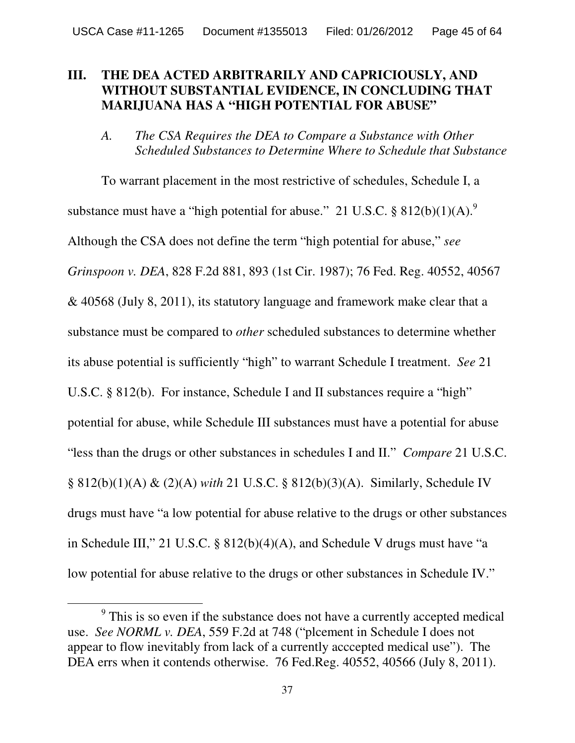## **III. THE DEA ACTED ARBITRARILY AND CAPRICIOUSLY, AND WITHOUT SUBSTANTIAL EVIDENCE, IN CONCLUDING THAT MARIJUANA HAS A "HIGH POTENTIAL FOR ABUSE"**

*A. The CSA Requires the DEA to Compare a Substance with Other Scheduled Substances to Determine Where to Schedule that Substance*

To warrant placement in the most restrictive of schedules, Schedule I, a substance must have a "high potential for abuse." 21 U.S.C.  $\S 812(b)(1)(A)$ . Although the CSA does not define the term "high potential for abuse," *see Grinspoon v. DEA*, 828 F.2d 881, 893 (1st Cir. 1987); 76 Fed. Reg. 40552, 40567 & 40568 (July 8, 2011), its statutory language and framework make clear that a substance must be compared to *other* scheduled substances to determine whether its abuse potential is sufficiently "high" to warrant Schedule I treatment. *See* 21 U.S.C. § 812(b). For instance, Schedule I and II substances require a "high" potential for abuse, while Schedule III substances must have a potential for abuse "less than the drugs or other substances in schedules I and II." *Compare* 21 U.S.C. § 812(b)(1)(A) & (2)(A) *with* 21 U.S.C. § 812(b)(3)(A). Similarly, Schedule IV drugs must have "a low potential for abuse relative to the drugs or other substances in Schedule III," 21 U.S.C. § 812(b)(4)(A), and Schedule V drugs must have "a low potential for abuse relative to the drugs or other substances in Schedule IV."

<sup>&</sup>lt;sup>9</sup> This is so even if the substance does not have a currently accepted medical use. *See NORML v. DEA*, 559 F.2d at 748 ("plcement in Schedule I does not appear to flow inevitably from lack of a currently acccepted medical use"). The DEA errs when it contends otherwise. 76 Fed.Reg. 40552, 40566 (July 8, 2011).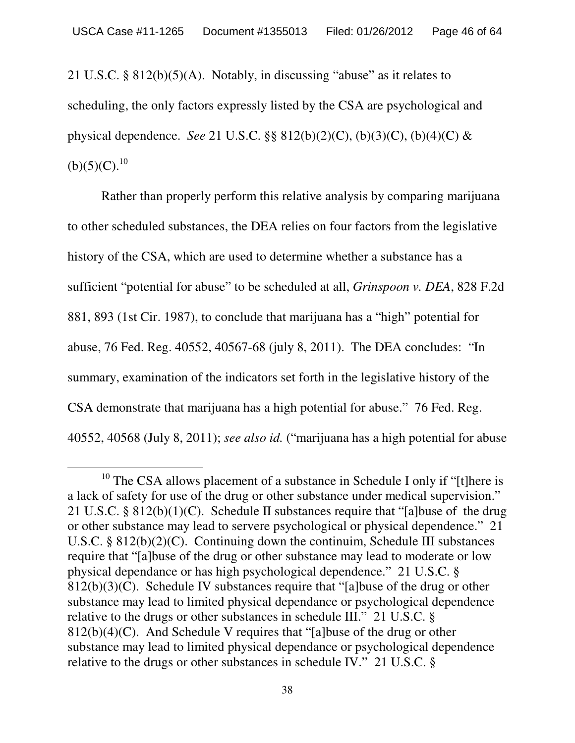21 U.S.C. § 812(b)(5)(A). Notably, in discussing "abuse" as it relates to scheduling, the only factors expressly listed by the CSA are psychological and physical dependence. *See* 21 U.S.C. §§ 812(b)(2)(C), (b)(3)(C), (b)(4)(C) &  $(b)(5)(C).^{10}$ 

Rather than properly perform this relative analysis by comparing marijuana to other scheduled substances, the DEA relies on four factors from the legislative history of the CSA, which are used to determine whether a substance has a sufficient "potential for abuse" to be scheduled at all, *Grinspoon v. DEA*, 828 F.2d 881, 893 (1st Cir. 1987), to conclude that marijuana has a "high" potential for abuse, 76 Fed. Reg. 40552, 40567-68 (july 8, 2011). The DEA concludes: "In summary, examination of the indicators set forth in the legislative history of the CSA demonstrate that marijuana has a high potential for abuse." 76 Fed. Reg. 40552, 40568 (July 8, 2011); *see also id.* ("marijuana has a high potential for abuse

 $10$  The CSA allows placement of a substance in Schedule I only if "[t]here is a lack of safety for use of the drug or other substance under medical supervision." 21 U.S.C. § 812(b)(1)(C). Schedule II substances require that "[a]buse of the drug or other substance may lead to servere psychological or physical dependence." 21 U.S.C. § 812(b)(2)(C). Continuing down the continuim, Schedule III substances require that "[a]buse of the drug or other substance may lead to moderate or low physical dependance or has high psychological dependence." 21 U.S.C. § 812(b)(3)(C). Schedule IV substances require that "[a]buse of the drug or other substance may lead to limited physical dependance or psychological dependence relative to the drugs or other substances in schedule III." 21 U.S.C. §  $812(b)(4)(C)$ . And Schedule V requires that "[a]buse of the drug or other substance may lead to limited physical dependance or psychological dependence relative to the drugs or other substances in schedule IV." 21 U.S.C. §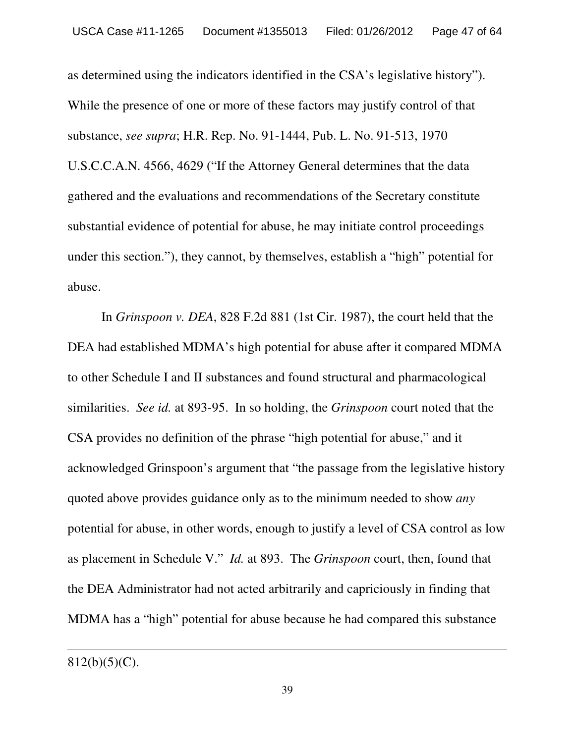as determined using the indicators identified in the CSA's legislative history"). While the presence of one or more of these factors may justify control of that substance, *see supra*; H.R. Rep. No. 91-1444, Pub. L. No. 91-513, 1970 U.S.C.C.A.N. 4566, 4629 ("If the Attorney General determines that the data gathered and the evaluations and recommendations of the Secretary constitute substantial evidence of potential for abuse, he may initiate control proceedings under this section."), they cannot, by themselves, establish a "high" potential for abuse.

In *Grinspoon v. DEA*, 828 F.2d 881 (1st Cir. 1987), the court held that the DEA had established MDMA's high potential for abuse after it compared MDMA to other Schedule I and II substances and found structural and pharmacological similarities. *See id.* at 893-95. In so holding, the *Grinspoon* court noted that the CSA provides no definition of the phrase "high potential for abuse," and it acknowledged Grinspoon's argument that "the passage from the legislative history quoted above provides guidance only as to the minimum needed to show *any* potential for abuse, in other words, enough to justify a level of CSA control as low as placement in Schedule V." *Id.* at 893. The *Grinspoon* court, then, found that the DEA Administrator had not acted arbitrarily and capriciously in finding that MDMA has a "high" potential for abuse because he had compared this substance

 $812(b)(5)(C)$ .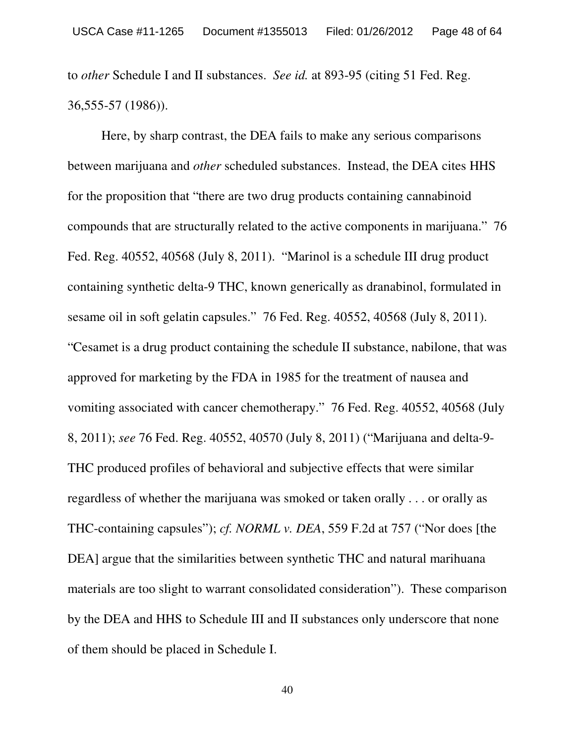to *other* Schedule I and II substances. *See id.* at 893-95 (citing 51 Fed. Reg. 36,555-57 (1986)).

Here, by sharp contrast, the DEA fails to make any serious comparisons between marijuana and *other* scheduled substances. Instead, the DEA cites HHS for the proposition that "there are two drug products containing cannabinoid compounds that are structurally related to the active components in marijuana." 76 Fed. Reg. 40552, 40568 (July 8, 2011). "Marinol is a schedule III drug product containing synthetic delta-9 THC, known generically as dranabinol, formulated in sesame oil in soft gelatin capsules." 76 Fed. Reg. 40552, 40568 (July 8, 2011). "Cesamet is a drug product containing the schedule II substance, nabilone, that was approved for marketing by the FDA in 1985 for the treatment of nausea and vomiting associated with cancer chemotherapy." 76 Fed. Reg. 40552, 40568 (July 8, 2011); *see* 76 Fed. Reg. 40552, 40570 (July 8, 2011) ("Marijuana and delta-9- THC produced profiles of behavioral and subjective effects that were similar regardless of whether the marijuana was smoked or taken orally . . . or orally as THC-containing capsules"); *cf. NORML v. DEA*, 559 F.2d at 757 ("Nor does [the DEA] argue that the similarities between synthetic THC and natural marihuana materials are too slight to warrant consolidated consideration"). These comparison by the DEA and HHS to Schedule III and II substances only underscore that none of them should be placed in Schedule I.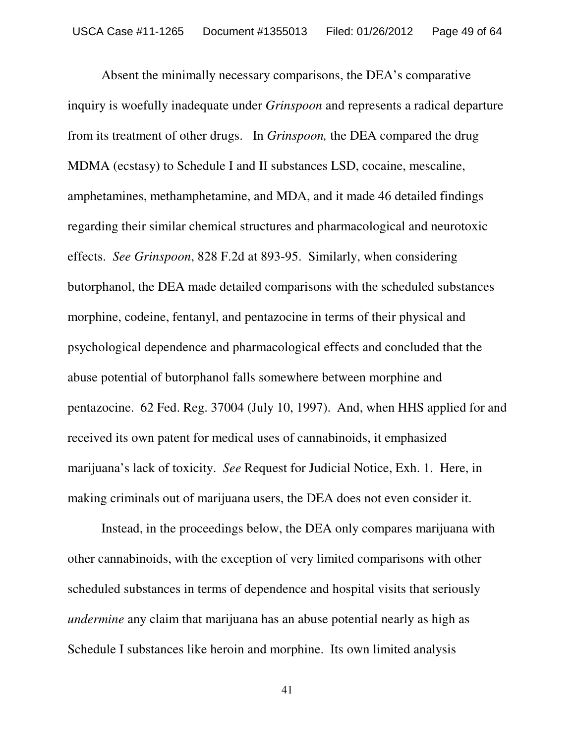Absent the minimally necessary comparisons, the DEA's comparative inquiry is woefully inadequate under *Grinspoon* and represents a radical departure from its treatment of other drugs. In *Grinspoon,* the DEA compared the drug MDMA (ecstasy) to Schedule I and II substances LSD, cocaine, mescaline, amphetamines, methamphetamine, and MDA, and it made 46 detailed findings regarding their similar chemical structures and pharmacological and neurotoxic effects. *See Grinspoon*, 828 F.2d at 893-95. Similarly, when considering butorphanol, the DEA made detailed comparisons with the scheduled substances morphine, codeine, fentanyl, and pentazocine in terms of their physical and psychological dependence and pharmacological effects and concluded that the abuse potential of butorphanol falls somewhere between morphine and pentazocine. 62 Fed. Reg. 37004 (July 10, 1997). And, when HHS applied for and received its own patent for medical uses of cannabinoids, it emphasized marijuana's lack of toxicity. *See* Request for Judicial Notice, Exh. 1. Here, in making criminals out of marijuana users, the DEA does not even consider it.

Instead, in the proceedings below, the DEA only compares marijuana with other cannabinoids, with the exception of very limited comparisons with other scheduled substances in terms of dependence and hospital visits that seriously *undermine* any claim that marijuana has an abuse potential nearly as high as Schedule I substances like heroin and morphine. Its own limited analysis

41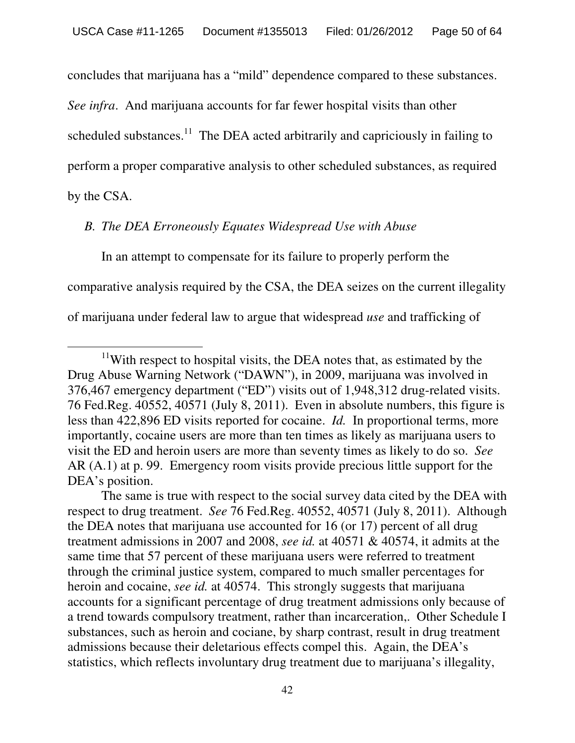concludes that marijuana has a "mild" dependence compared to these substances.

*See infra*. And marijuana accounts for far fewer hospital visits than other

scheduled substances.<sup>11</sup> The DEA acted arbitrarily and capriciously in failing to

perform a proper comparative analysis to other scheduled substances, as required

by the CSA.

## *B. The DEA Erroneously Equates Widespread Use with Abuse*

In an attempt to compensate for its failure to properly perform the comparative analysis required by the CSA, the DEA seizes on the current illegality of marijuana under federal law to argue that widespread *use* and trafficking of

 $11$ With respect to hospital visits, the DEA notes that, as estimated by the Drug Abuse Warning Network ("DAWN"), in 2009, marijuana was involved in 376,467 emergency department ("ED") visits out of 1,948,312 drug-related visits. 76 Fed.Reg. 40552, 40571 (July 8, 2011). Even in absolute numbers, this figure is less than 422,896 ED visits reported for cocaine. *Id.* In proportional terms, more importantly, cocaine users are more than ten times as likely as marijuana users to visit the ED and heroin users are more than seventy times as likely to do so. *See* AR (A.1) at p. 99. Emergency room visits provide precious little support for the DEA's position.

The same is true with respect to the social survey data cited by the DEA with respect to drug treatment. *See* 76 Fed.Reg. 40552, 40571 (July 8, 2011). Although the DEA notes that marijuana use accounted for 16 (or 17) percent of all drug treatment admissions in 2007 and 2008, *see id.* at 40571 & 40574, it admits at the same time that 57 percent of these marijuana users were referred to treatment through the criminal justice system, compared to much smaller percentages for heroin and cocaine, *see id.* at 40574. This strongly suggests that marijuana accounts for a significant percentage of drug treatment admissions only because of a trend towards compulsory treatment, rather than incarceration,. Other Schedule I substances, such as heroin and cociane, by sharp contrast, result in drug treatment admissions because their deletarious effects compel this. Again, the DEA's statistics, which reflects involuntary drug treatment due to marijuana's illegality,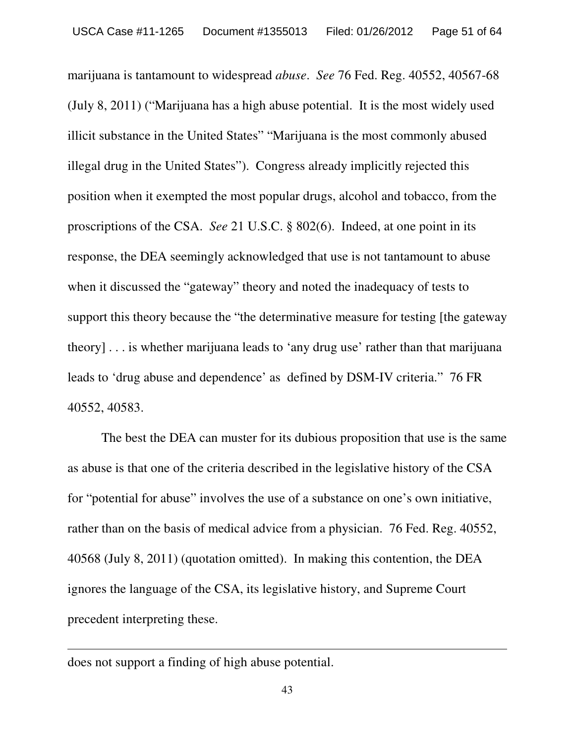marijuana is tantamount to widespread *abuse*. *See* 76 Fed. Reg. 40552, 40567-68 (July 8, 2011) ("Marijuana has a high abuse potential. It is the most widely used illicit substance in the United States" "Marijuana is the most commonly abused illegal drug in the United States"). Congress already implicitly rejected this position when it exempted the most popular drugs, alcohol and tobacco, from the proscriptions of the CSA. *See* 21 U.S.C. § 802(6). Indeed, at one point in its response, the DEA seemingly acknowledged that use is not tantamount to abuse when it discussed the "gateway" theory and noted the inadequacy of tests to support this theory because the "the determinative measure for testing [the gateway theory] . . . is whether marijuana leads to 'any drug use' rather than that marijuana leads to 'drug abuse and dependence' as defined by DSM-IV criteria." 76 FR 40552, 40583.

The best the DEA can muster for its dubious proposition that use is the same as abuse is that one of the criteria described in the legislative history of the CSA for "potential for abuse" involves the use of a substance on one's own initiative, rather than on the basis of medical advice from a physician. 76 Fed. Reg. 40552, 40568 (July 8, 2011) (quotation omitted). In making this contention, the DEA ignores the language of the CSA, its legislative history, and Supreme Court precedent interpreting these.

does not support a finding of high abuse potential.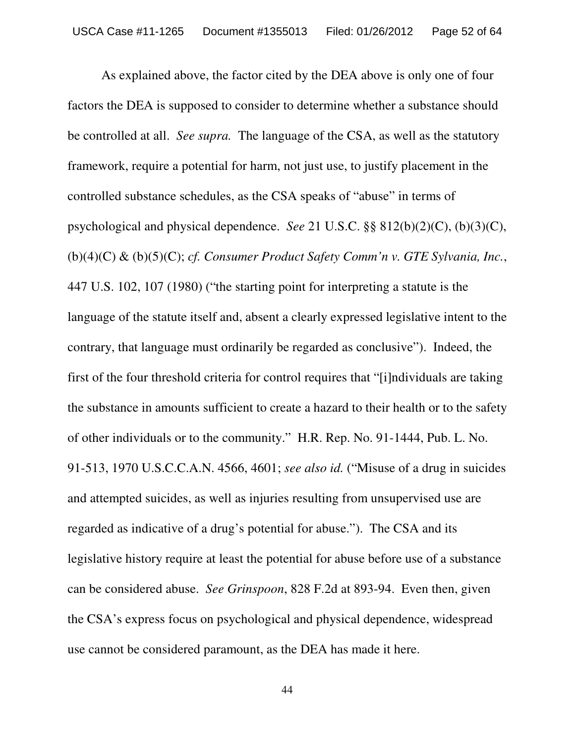As explained above, the factor cited by the DEA above is only one of four factors the DEA is supposed to consider to determine whether a substance should be controlled at all. *See supra.* The language of the CSA, as well as the statutory framework, require a potential for harm, not just use, to justify placement in the controlled substance schedules, as the CSA speaks of "abuse" in terms of psychological and physical dependence. *See* 21 U.S.C. §§ 812(b)(2)(C), (b)(3)(C), (b)(4)(C) & (b)(5)(C); *cf. Consumer Product Safety Comm'n v. GTE Sylvania, Inc.*, 447 U.S. 102, 107 (1980) ("the starting point for interpreting a statute is the language of the statute itself and, absent a clearly expressed legislative intent to the contrary, that language must ordinarily be regarded as conclusive"). Indeed, the first of the four threshold criteria for control requires that "[i]ndividuals are taking the substance in amounts sufficient to create a hazard to their health or to the safety of other individuals or to the community." H.R. Rep. No. 91-1444, Pub. L. No. 91-513, 1970 U.S.C.C.A.N. 4566, 4601; *see also id.* ("Misuse of a drug in suicides and attempted suicides, as well as injuries resulting from unsupervised use are regarded as indicative of a drug's potential for abuse."). The CSA and its legislative history require at least the potential for abuse before use of a substance can be considered abuse. *See Grinspoon*, 828 F.2d at 893-94. Even then, given the CSA's express focus on psychological and physical dependence, widespread use cannot be considered paramount, as the DEA has made it here.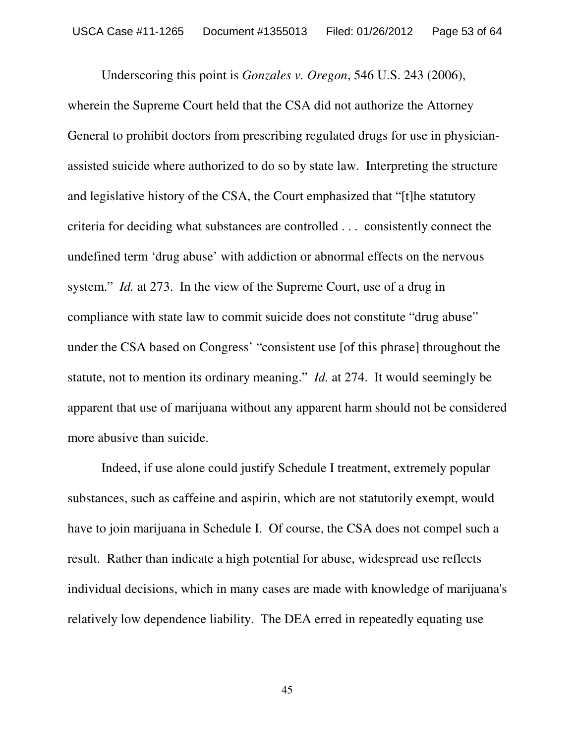Underscoring this point is *Gonzales v. Oregon*, 546 U.S. 243 (2006), wherein the Supreme Court held that the CSA did not authorize the Attorney General to prohibit doctors from prescribing regulated drugs for use in physicianassisted suicide where authorized to do so by state law. Interpreting the structure and legislative history of the CSA, the Court emphasized that "[t]he statutory criteria for deciding what substances are controlled . . . consistently connect the undefined term 'drug abuse' with addiction or abnormal effects on the nervous system." *Id.* at 273. In the view of the Supreme Court, use of a drug in compliance with state law to commit suicide does not constitute "drug abuse" under the CSA based on Congress' "consistent use [of this phrase] throughout the statute, not to mention its ordinary meaning." *Id.* at 274. It would seemingly be apparent that use of marijuana without any apparent harm should not be considered more abusive than suicide.

Indeed, if use alone could justify Schedule I treatment, extremely popular substances, such as caffeine and aspirin, which are not statutorily exempt, would have to join marijuana in Schedule I. Of course, the CSA does not compel such a result. Rather than indicate a high potential for abuse, widespread use reflects individual decisions, which in many cases are made with knowledge of marijuana's relatively low dependence liability. The DEA erred in repeatedly equating use

45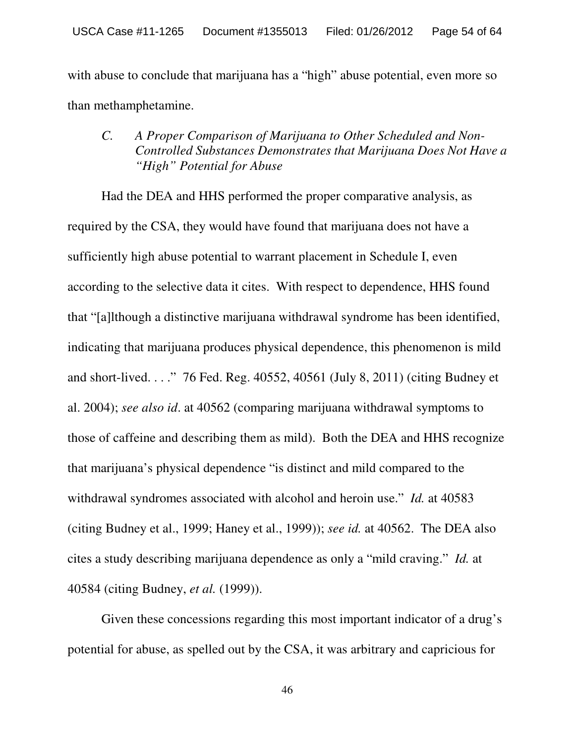with abuse to conclude that marijuana has a "high" abuse potential, even more so than methamphetamine.

## *C. A Proper Comparison of Marijuana to Other Scheduled and Non-Controlled Substances Demonstrates that Marijuana Does Not Have a "High" Potential for Abuse*

Had the DEA and HHS performed the proper comparative analysis, as required by the CSA, they would have found that marijuana does not have a sufficiently high abuse potential to warrant placement in Schedule I, even according to the selective data it cites. With respect to dependence, HHS found that "[a]lthough a distinctive marijuana withdrawal syndrome has been identified, indicating that marijuana produces physical dependence, this phenomenon is mild and short-lived. . . ." 76 Fed. Reg. 40552, 40561 (July 8, 2011) (citing Budney et al. 2004); *see also id*. at 40562 (comparing marijuana withdrawal symptoms to those of caffeine and describing them as mild). Both the DEA and HHS recognize that marijuana's physical dependence "is distinct and mild compared to the withdrawal syndromes associated with alcohol and heroin use." *Id.* at 40583 (citing Budney et al., 1999; Haney et al., 1999)); *see id.* at 40562. The DEA also cites a study describing marijuana dependence as only a "mild craving." *Id.* at 40584 (citing Budney, *et al.* (1999)).

Given these concessions regarding this most important indicator of a drug's potential for abuse, as spelled out by the CSA, it was arbitrary and capricious for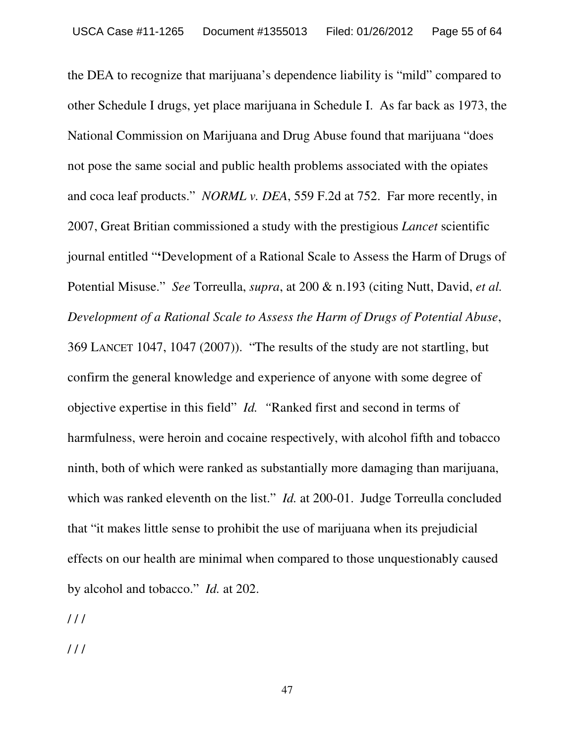the DEA to recognize that marijuana's dependence liability is "mild" compared to other Schedule I drugs, yet place marijuana in Schedule I. As far back as 1973, the National Commission on Marijuana and Drug Abuse found that marijuana "does not pose the same social and public health problems associated with the opiates and coca leaf products." *NORML v. DEA*, 559 F.2d at 752. Far more recently, in 2007, Great Britian commissioned a study with the prestigious *Lancet* scientific journal entitled "**'**Development of a Rational Scale to Assess the Harm of Drugs of Potential Misuse." *See* Torreulla, *supra*, at 200 & n.193 (citing Nutt, David, *et al. Development of a Rational Scale to Assess the Harm of Drugs of Potential Abuse*, 369 LANCET 1047, 1047 (2007)). "The results of the study are not startling, but confirm the general knowledge and experience of anyone with some degree of objective expertise in this field" *Id. "*Ranked first and second in terms of harmfulness, were heroin and cocaine respectively, with alcohol fifth and tobacco ninth, both of which were ranked as substantially more damaging than marijuana, which was ranked eleventh on the list." *Id.* at 200-01. Judge Torreulla concluded that "it makes little sense to prohibit the use of marijuana when its prejudicial effects on our health are minimal when compared to those unquestionably caused by alcohol and tobacco." *Id.* at 202.

 $111$ 

/ / /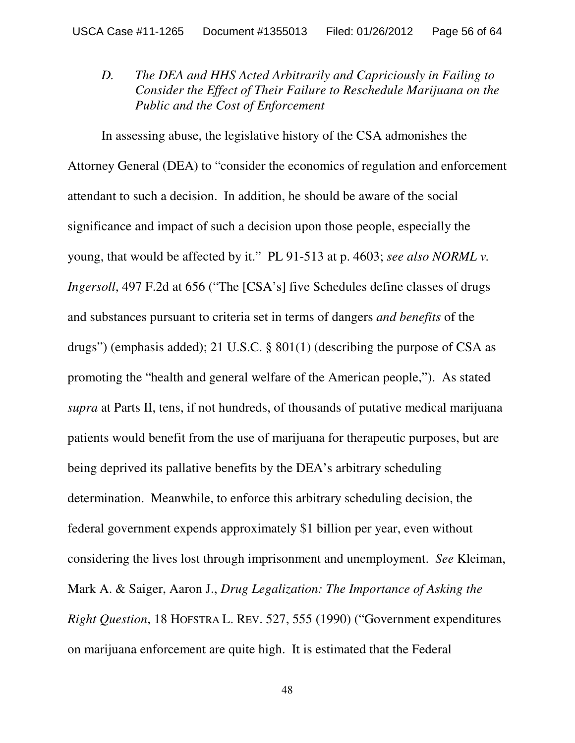*D. The DEA and HHS Acted Arbitrarily and Capriciously in Failing to Consider the Effect of Their Failure to Reschedule Marijuana on the Public and the Cost of Enforcement*

In assessing abuse, the legislative history of the CSA admonishes the Attorney General (DEA) to "consider the economics of regulation and enforcement attendant to such a decision. In addition, he should be aware of the social significance and impact of such a decision upon those people, especially the young, that would be affected by it." PL 91-513 at p. 4603; *see also NORML v. Ingersoll*, 497 F.2d at 656 ("The [CSA's] five Schedules define classes of drugs and substances pursuant to criteria set in terms of dangers *and benefits* of the drugs") (emphasis added); 21 U.S.C. § 801(1) (describing the purpose of CSA as promoting the "health and general welfare of the American people,"). As stated *supra* at Parts II, tens, if not hundreds, of thousands of putative medical marijuana patients would benefit from the use of marijuana for therapeutic purposes, but are being deprived its pallative benefits by the DEA's arbitrary scheduling determination. Meanwhile, to enforce this arbitrary scheduling decision, the federal government expends approximately \$1 billion per year, even without considering the lives lost through imprisonment and unemployment. *See* Kleiman, Mark A. & Saiger, Aaron J., *Drug Legalization: The Importance of Asking the Right Question*, 18 HOFSTRA L. REV. 527, 555 (1990) ("Government expenditures on marijuana enforcement are quite high. It is estimated that the Federal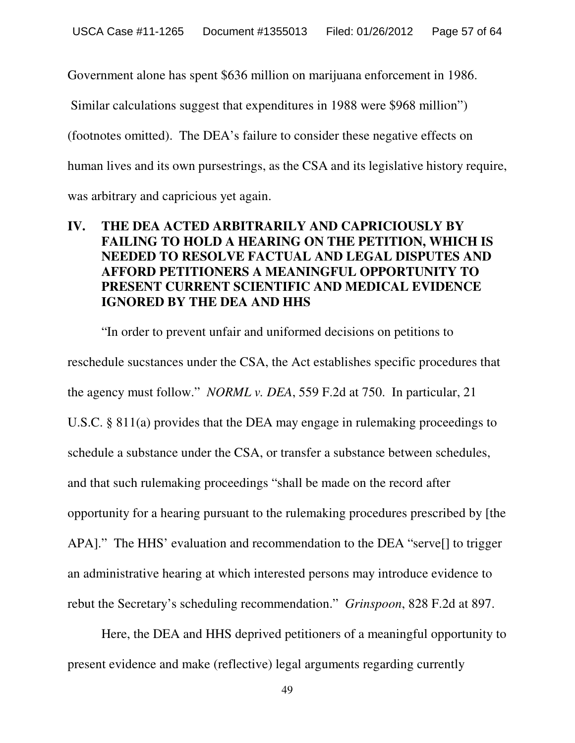Government alone has spent \$636 million on marijuana enforcement in 1986.

Similar calculations suggest that expenditures in 1988 were \$968 million")

(footnotes omitted). The DEA's failure to consider these negative effects on

human lives and its own pursestrings, as the CSA and its legislative history require,

was arbitrary and capricious yet again.

# **IV. THE DEA ACTED ARBITRARILY AND CAPRICIOUSLY BY FAILING TO HOLD A HEARING ON THE PETITION, WHICH IS NEEDED TO RESOLVE FACTUAL AND LEGAL DISPUTES AND AFFORD PETITIONERS A MEANINGFUL OPPORTUNITY TO PRESENT CURRENT SCIENTIFIC AND MEDICAL EVIDENCE IGNORED BY THE DEA AND HHS**

"In order to prevent unfair and uniformed decisions on petitions to reschedule sucstances under the CSA, the Act establishes specific procedures that the agency must follow." *NORML v. DEA*, 559 F.2d at 750. In particular, 21 U.S.C. § 811(a) provides that the DEA may engage in rulemaking proceedings to schedule a substance under the CSA, or transfer a substance between schedules, and that such rulemaking proceedings "shall be made on the record after opportunity for a hearing pursuant to the rulemaking procedures prescribed by [the APA]." The HHS' evaluation and recommendation to the DEA "serve[] to trigger an administrative hearing at which interested persons may introduce evidence to rebut the Secretary's scheduling recommendation." *Grinspoon*, 828 F.2d at 897.

Here, the DEA and HHS deprived petitioners of a meaningful opportunity to present evidence and make (reflective) legal arguments regarding currently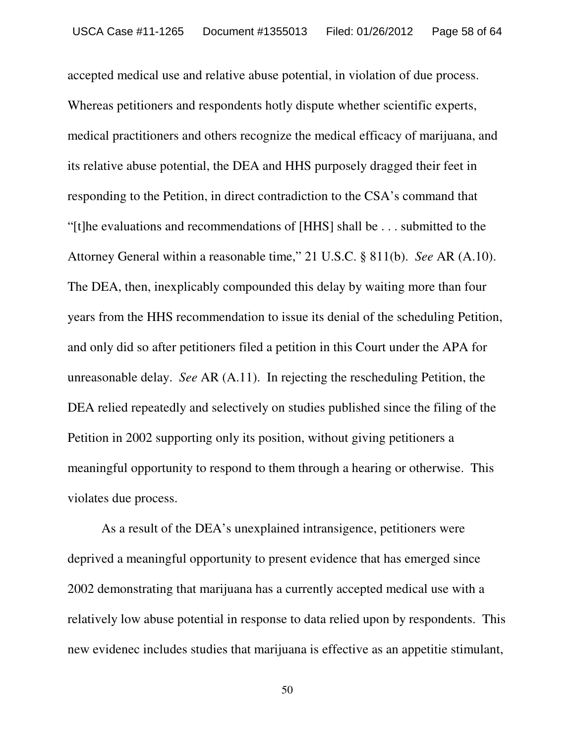accepted medical use and relative abuse potential, in violation of due process. Whereas petitioners and respondents hotly dispute whether scientific experts, medical practitioners and others recognize the medical efficacy of marijuana, and its relative abuse potential, the DEA and HHS purposely dragged their feet in responding to the Petition, in direct contradiction to the CSA's command that "[t]he evaluations and recommendations of [HHS] shall be . . . submitted to the Attorney General within a reasonable time," 21 U.S.C. § 811(b). *See* AR (A.10). The DEA, then, inexplicably compounded this delay by waiting more than four years from the HHS recommendation to issue its denial of the scheduling Petition, and only did so after petitioners filed a petition in this Court under the APA for unreasonable delay. *See* AR (A.11). In rejecting the rescheduling Petition, the DEA relied repeatedly and selectively on studies published since the filing of the Petition in 2002 supporting only its position, without giving petitioners a meaningful opportunity to respond to them through a hearing or otherwise. This violates due process.

As a result of the DEA's unexplained intransigence, petitioners were deprived a meaningful opportunity to present evidence that has emerged since 2002 demonstrating that marijuana has a currently accepted medical use with a relatively low abuse potential in response to data relied upon by respondents. This new evidenec includes studies that marijuana is effective as an appetitie stimulant,

50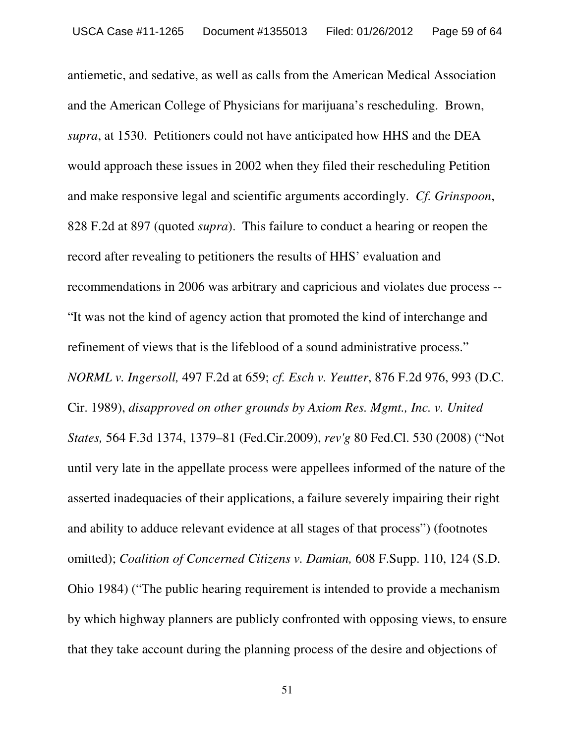antiemetic, and sedative, as well as calls from the American Medical Association and the American College of Physicians for marijuana's rescheduling. Brown, *supra*, at 1530. Petitioners could not have anticipated how HHS and the DEA would approach these issues in 2002 when they filed their rescheduling Petition and make responsive legal and scientific arguments accordingly. *Cf. Grinspoon*, 828 F.2d at 897 (quoted *supra*). This failure to conduct a hearing or reopen the record after revealing to petitioners the results of HHS' evaluation and recommendations in 2006 was arbitrary and capricious and violates due process -- "It was not the kind of agency action that promoted the kind of interchange and refinement of views that is the lifeblood of a sound administrative process." *NORML v. Ingersoll,* 497 F.2d at 659; *cf. Esch v. Yeutter*, 876 F.2d 976, 993 (D.C. Cir. 1989), *disapproved on other grounds by Axiom Res. Mgmt., Inc. v. United States,* 564 F.3d 1374, 1379–81 (Fed.Cir.2009), *rev'g* 80 Fed.Cl. 530 (2008) ("Not until very late in the appellate process were appellees informed of the nature of the asserted inadequacies of their applications, a failure severely impairing their right and ability to adduce relevant evidence at all stages of that process") (footnotes omitted); *Coalition of Concerned Citizens v. Damian,* 608 F.Supp. 110, 124 (S.D. Ohio 1984) ("The public hearing requirement is intended to provide a mechanism by which highway planners are publicly confronted with opposing views, to ensure that they take account during the planning process of the desire and objections of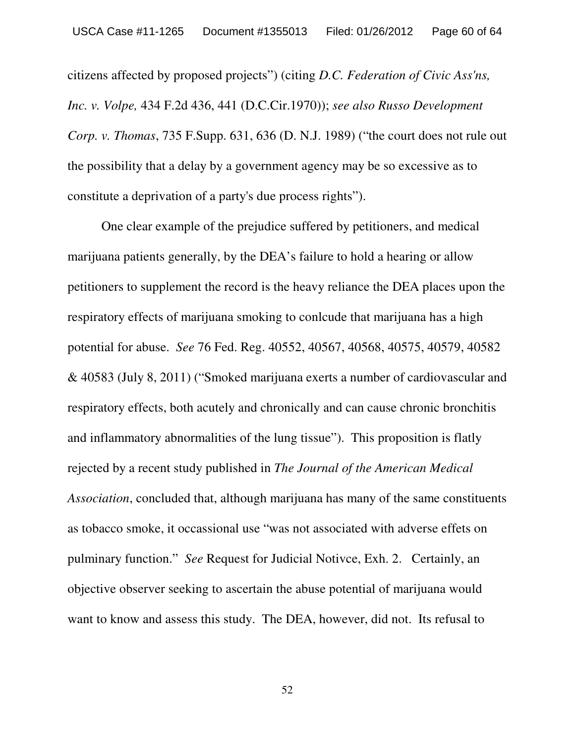citizens affected by proposed projects") (citing *D.C. Federation of Civic Ass'ns, Inc. v. Volpe,* 434 F.2d 436, 441 (D.C.Cir.1970)); *see also Russo Development Corp. v. Thomas*, 735 F.Supp. 631, 636 (D. N.J. 1989) ("the court does not rule out the possibility that a delay by a government agency may be so excessive as to constitute a deprivation of a party's due process rights").

One clear example of the prejudice suffered by petitioners, and medical marijuana patients generally, by the DEA's failure to hold a hearing or allow petitioners to supplement the record is the heavy reliance the DEA places upon the respiratory effects of marijuana smoking to conlcude that marijuana has a high potential for abuse. *See* 76 Fed. Reg. 40552, 40567, 40568, 40575, 40579, 40582 & 40583 (July 8, 2011) ("Smoked marijuana exerts a number of cardiovascular and respiratory effects, both acutely and chronically and can cause chronic bronchitis and inflammatory abnormalities of the lung tissue"). This proposition is flatly rejected by a recent study published in *The Journal of the American Medical Association*, concluded that, although marijuana has many of the same constituents as tobacco smoke, it occassional use "was not associated with adverse effets on pulminary function." *See* Request for Judicial Notivce, Exh. 2. Certainly, an objective observer seeking to ascertain the abuse potential of marijuana would want to know and assess this study. The DEA, however, did not. Its refusal to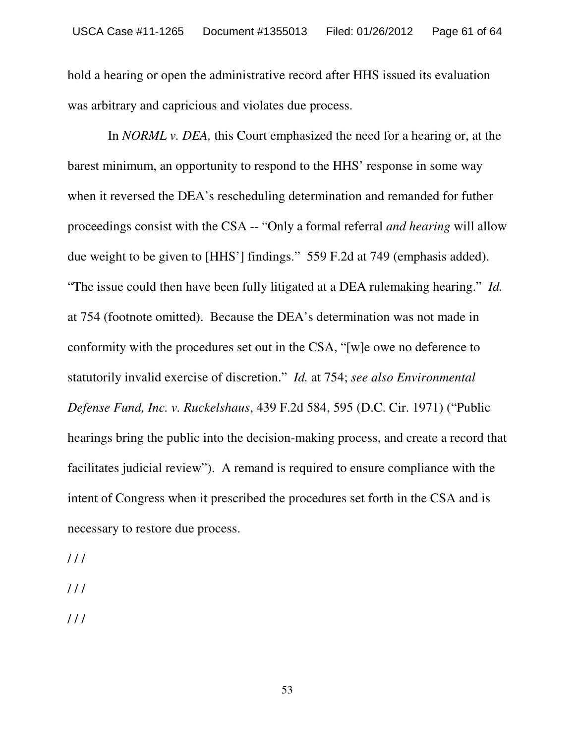hold a hearing or open the administrative record after HHS issued its evaluation was arbitrary and capricious and violates due process.

In *NORML v. DEA,* this Court emphasized the need for a hearing or, at the barest minimum, an opportunity to respond to the HHS' response in some way when it reversed the DEA's rescheduling determination and remanded for futher proceedings consist with the CSA -- "Only a formal referral *and hearing* will allow due weight to be given to [HHS'] findings." 559 F.2d at 749 (emphasis added). "The issue could then have been fully litigated at a DEA rulemaking hearing." *Id.* at 754 (footnote omitted). Because the DEA's determination was not made in conformity with the procedures set out in the CSA, "[w]e owe no deference to statutorily invalid exercise of discretion." *Id.* at 754; *see also Environmental Defense Fund, Inc. v. Ruckelshaus*, 439 F.2d 584, 595 (D.C. Cir. 1971) ("Public hearings bring the public into the decision-making process, and create a record that facilitates judicial review"). A remand is required to ensure compliance with the intent of Congress when it prescribed the procedures set forth in the CSA and is necessary to restore due process.

- $111$
- $111$
- $111$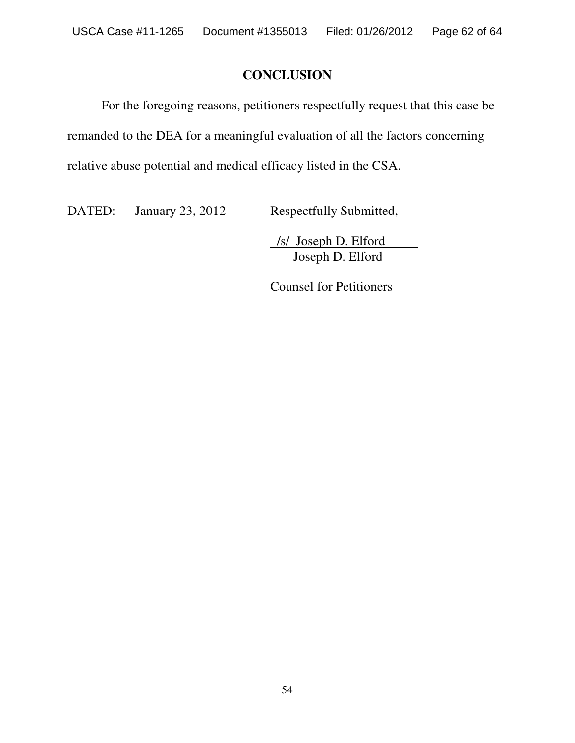# **CONCLUSION**

For the foregoing reasons, petitioners respectfully request that this case be remanded to the DEA for a meaningful evaluation of all the factors concerning relative abuse potential and medical efficacy listed in the CSA.

DATED: January 23, 2012 Respectfully Submitted,

/s/ Joseph D. Elford Joseph D. Elford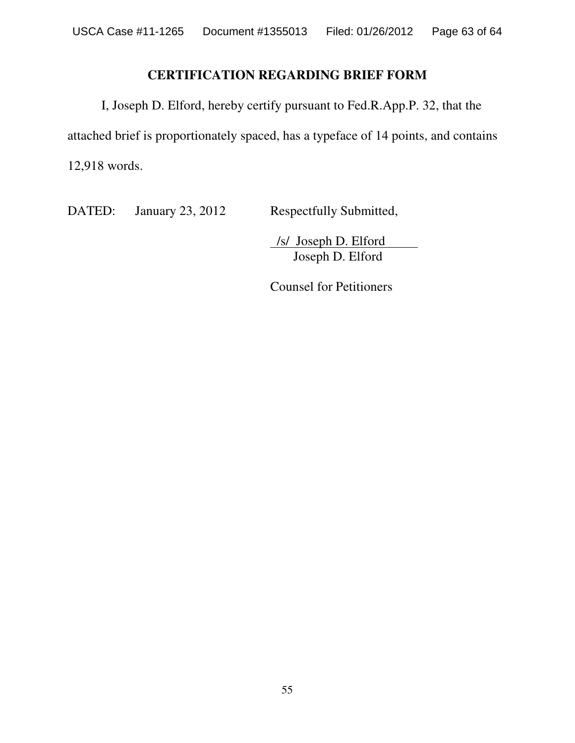# **CERTIFICATION REGARDING BRIEF FORM**

I, Joseph D. Elford, hereby certify pursuant to Fed.R.App.P. 32, that the attached brief is proportionately spaced, has a typeface of 14 points, and contains 12,918 words.

DATED: January 23, 2012 Respectfully Submitted,

/s/ Joseph D. Elford Joseph D. Elford